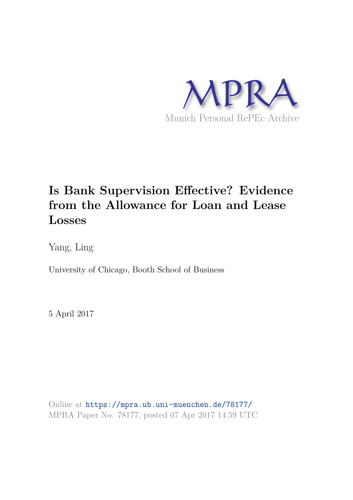

# **Is Bank Supervision Effective? Evidence from the Allowance for Loan and Lease Losses**

Yang, Ling

University of Chicago, Booth School of Business

5 April 2017

Online at https://mpra.ub.uni-muenchen.de/78177/ MPRA Paper No. 78177, posted 07 Apr 2017 14:59 UTC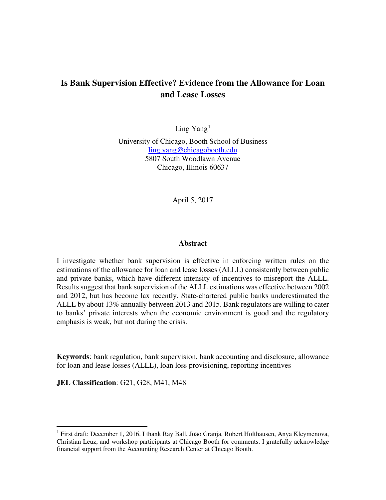# **Is Bank Supervision Effective? Evidence from the Allowance for Loan and Lease Losses**

Ling  $Yang<sup>1</sup>$  $Yang<sup>1</sup>$  $Yang<sup>1</sup>$ 

University of Chicago, Booth School of Business ling.yang@chicagobooth.edu 5807 South Woodlawn Avenue Chicago, Illinois 60637

April 5, 2017

#### **Abstract**

I investigate whether bank supervision is effective in enforcing written rules on the estimations of the allowance for loan and lease losses (ALLL) consistently between public and private banks, which have different intensity of incentives to misreport the ALLL. Results suggest that bank supervision of the ALLL estimations was effective between 2002 and 2012, but has become lax recently. State-chartered public banks underestimated the ALLL by about 13% annually between 2013 and 2015. Bank regulators are willing to cater to banks' private interests when the economic environment is good and the regulatory emphasis is weak, but not during the crisis.

**Keywords**: bank regulation, bank supervision, bank accounting and disclosure, allowance for loan and lease losses (ALLL), loan loss provisioning, reporting incentives

**JEL Classification**: G21, G28, M41, M48

 $\overline{a}$ 

<span id="page-1-0"></span><sup>&</sup>lt;sup>1</sup> First draft: December 1, 2016. I thank Ray Ball, João Granja, Robert Holthausen, Anya Kleymenova, Christian Leuz, and workshop participants at Chicago Booth for comments. I gratefully acknowledge financial support from the Accounting Research Center at Chicago Booth.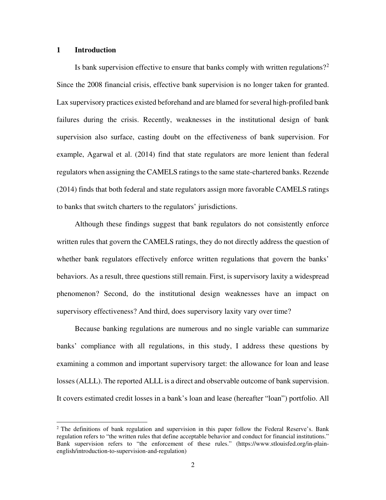# **1 Introduction**

 $\overline{a}$ 

Is bank supervision effective to ensure that banks comply with written regulations?[2](#page-2-0) Since the 2008 financial crisis, effective bank supervision is no longer taken for granted. Lax supervisory practices existed beforehand and are blamed for several high-profiled bank failures during the crisis. Recently, weaknesses in the institutional design of bank supervision also surface, casting doubt on the effectiveness of bank supervision. For example, Agarwal et al. (2014) find that state regulators are more lenient than federal regulators when assigning the CAMELS ratings to the same state-chartered banks. Rezende (2014) finds that both federal and state regulators assign more favorable CAMELS ratings to banks that switch charters to the regulators' jurisdictions.

Although these findings suggest that bank regulators do not consistently enforce written rules that govern the CAMELS ratings, they do not directly address the question of whether bank regulators effectively enforce written regulations that govern the banks' behaviors. As a result, three questions still remain. First, is supervisory laxity a widespread phenomenon? Second, do the institutional design weaknesses have an impact on supervisory effectiveness? And third, does supervisory laxity vary over time?

Because banking regulations are numerous and no single variable can summarize banks' compliance with all regulations, in this study, I address these questions by examining a common and important supervisory target: the allowance for loan and lease losses (ALLL). The reported ALLL is a direct and observable outcome of bank supervision. It covers estimated credit losses in a bank's loan and lease (hereafter "loan") portfolio. All

<span id="page-2-0"></span><sup>&</sup>lt;sup>2</sup> The definitions of bank regulation and supervision in this paper follow the Federal Reserve's. Bank regulation refers to "the written rules that define acceptable behavior and conduct for financial institutions." Bank supervision refers to "the enforcement of these rules." (https://www.stlouisfed.org/in-plainenglish/introduction-to-supervision-and-regulation)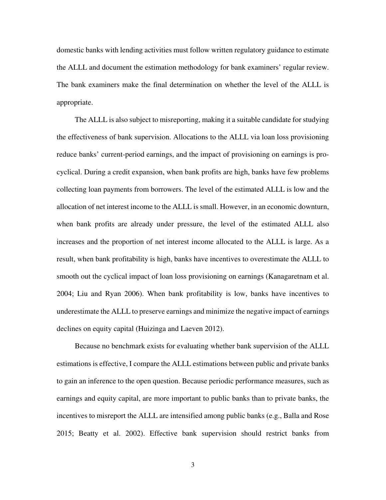domestic banks with lending activities must follow written regulatory guidance to estimate the ALLL and document the estimation methodology for bank examiners' regular review. The bank examiners make the final determination on whether the level of the ALLL is appropriate.

The ALLL is also subject to misreporting, making it a suitable candidate for studying the effectiveness of bank supervision. Allocations to the ALLL via loan loss provisioning reduce banks' current-period earnings, and the impact of provisioning on earnings is procyclical. During a credit expansion, when bank profits are high, banks have few problems collecting loan payments from borrowers. The level of the estimated ALLL is low and the allocation of net interest income to the ALLL is small. However, in an economic downturn, when bank profits are already under pressure, the level of the estimated ALLL also increases and the proportion of net interest income allocated to the ALLL is large. As a result, when bank profitability is high, banks have incentives to overestimate the ALLL to smooth out the cyclical impact of loan loss provisioning on earnings (Kanagaretnam et al. 2004; Liu and Ryan 2006). When bank profitability is low, banks have incentives to underestimate the ALLL to preserve earnings and minimize the negative impact of earnings declines on equity capital (Huizinga and Laeven 2012).

Because no benchmark exists for evaluating whether bank supervision of the ALLL estimations is effective, I compare the ALLL estimations between public and private banks to gain an inference to the open question. Because periodic performance measures, such as earnings and equity capital, are more important to public banks than to private banks, the incentives to misreport the ALLL are intensified among public banks (e.g., Balla and Rose 2015; Beatty et al. 2002). Effective bank supervision should restrict banks from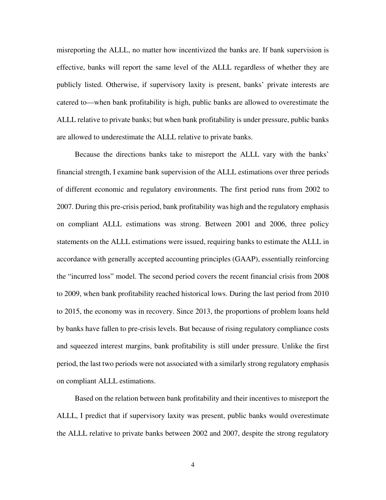misreporting the ALLL, no matter how incentivized the banks are. If bank supervision is effective, banks will report the same level of the ALLL regardless of whether they are publicly listed. Otherwise, if supervisory laxity is present, banks' private interests are catered to—when bank profitability is high, public banks are allowed to overestimate the ALLL relative to private banks; but when bank profitability is under pressure, public banks are allowed to underestimate the ALLL relative to private banks.

Because the directions banks take to misreport the ALLL vary with the banks' financial strength, I examine bank supervision of the ALLL estimations over three periods of different economic and regulatory environments. The first period runs from 2002 to 2007. During this pre-crisis period, bank profitability was high and the regulatory emphasis on compliant ALLL estimations was strong. Between 2001 and 2006, three policy statements on the ALLL estimations were issued, requiring banks to estimate the ALLL in accordance with generally accepted accounting principles (GAAP), essentially reinforcing the "incurred loss" model. The second period covers the recent financial crisis from 2008 to 2009, when bank profitability reached historical lows. During the last period from 2010 to 2015, the economy was in recovery. Since 2013, the proportions of problem loans held by banks have fallen to pre-crisis levels. But because of rising regulatory compliance costs and squeezed interest margins, bank profitability is still under pressure. Unlike the first period, the last two periods were not associated with a similarly strong regulatory emphasis on compliant ALLL estimations.

Based on the relation between bank profitability and their incentives to misreport the ALLL, I predict that if supervisory laxity was present, public banks would overestimate the ALLL relative to private banks between 2002 and 2007, despite the strong regulatory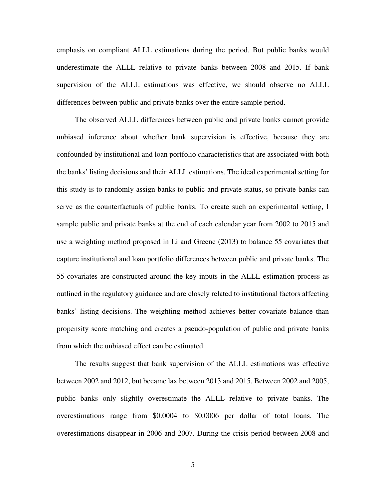emphasis on compliant ALLL estimations during the period. But public banks would underestimate the ALLL relative to private banks between 2008 and 2015. If bank supervision of the ALLL estimations was effective, we should observe no ALLL differences between public and private banks over the entire sample period.

The observed ALLL differences between public and private banks cannot provide unbiased inference about whether bank supervision is effective, because they are confounded by institutional and loan portfolio characteristics that are associated with both the banks' listing decisions and their ALLL estimations. The ideal experimental setting for this study is to randomly assign banks to public and private status, so private banks can serve as the counterfactuals of public banks. To create such an experimental setting, I sample public and private banks at the end of each calendar year from 2002 to 2015 and use a weighting method proposed in Li and Greene (2013) to balance 55 covariates that capture institutional and loan portfolio differences between public and private banks. The 55 covariates are constructed around the key inputs in the ALLL estimation process as outlined in the regulatory guidance and are closely related to institutional factors affecting banks' listing decisions. The weighting method achieves better covariate balance than propensity score matching and creates a pseudo-population of public and private banks from which the unbiased effect can be estimated.

The results suggest that bank supervision of the ALLL estimations was effective between 2002 and 2012, but became lax between 2013 and 2015. Between 2002 and 2005, public banks only slightly overestimate the ALLL relative to private banks. The overestimations range from \$0.0004 to \$0.0006 per dollar of total loans. The overestimations disappear in 2006 and 2007. During the crisis period between 2008 and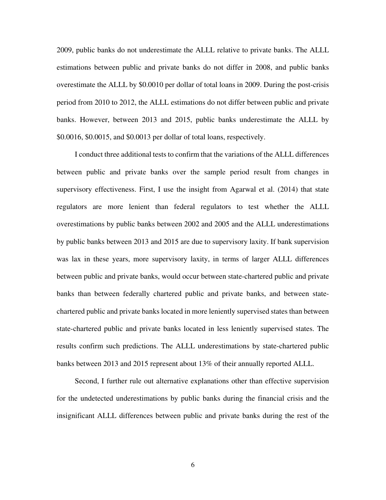2009, public banks do not underestimate the ALLL relative to private banks. The ALLL estimations between public and private banks do not differ in 2008, and public banks overestimate the ALLL by \$0.0010 per dollar of total loans in 2009. During the post-crisis period from 2010 to 2012, the ALLL estimations do not differ between public and private banks. However, between 2013 and 2015, public banks underestimate the ALLL by \$0.0016, \$0.0015, and \$0.0013 per dollar of total loans, respectively.

I conduct three additional tests to confirm that the variations of the ALLL differences between public and private banks over the sample period result from changes in supervisory effectiveness. First, I use the insight from Agarwal et al. (2014) that state regulators are more lenient than federal regulators to test whether the ALLL overestimations by public banks between 2002 and 2005 and the ALLL underestimations by public banks between 2013 and 2015 are due to supervisory laxity. If bank supervision was lax in these years, more supervisory laxity, in terms of larger ALLL differences between public and private banks, would occur between state-chartered public and private banks than between federally chartered public and private banks, and between statechartered public and private banks located in more leniently supervised states than between state-chartered public and private banks located in less leniently supervised states. The results confirm such predictions. The ALLL underestimations by state-chartered public banks between 2013 and 2015 represent about 13% of their annually reported ALLL.

Second, I further rule out alternative explanations other than effective supervision for the undetected underestimations by public banks during the financial crisis and the insignificant ALLL differences between public and private banks during the rest of the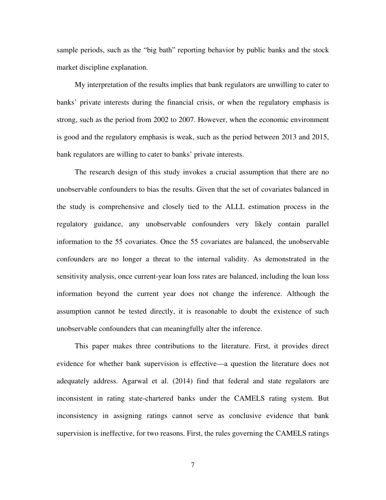sample periods, such as the "big bath" reporting behavior by public banks and the stock market discipline explanation.

My interpretation of the results implies that bank regulators are unwilling to cater to banks' private interests during the financial crisis, or when the regulatory emphasis is strong, such as the period from 2002 to 2007. However, when the economic environment is good and the regulatory emphasis is weak, such as the period between 2013 and 2015, bank regulators are willing to cater to banks' private interests.

The research design of this study invokes a crucial assumption that there are no unobservable confounders to bias the results. Given that the set of covariates balanced in the study is comprehensive and closely tied to the ALLL estimation process in the regulatory guidance, any unobservable confounders very likely contain parallel information to the 55 covariates. Once the 55 covariates are balanced, the unobservable confounders are no longer a threat to the internal validity. As demonstrated in the sensitivity analysis, once current-year loan loss rates are balanced, including the loan loss information beyond the current year does not change the inference. Although the assumption cannot be tested directly, it is reasonable to doubt the existence of such unobservable confounders that can meaningfully alter the inference.

This paper makes three contributions to the literature. First, it provides direct evidence for whether bank supervision is effective—a question the literature does not adequately address. Agarwal et al. (2014) find that federal and state regulators are inconsistent in rating state-chartered banks under the CAMELS rating system. But inconsistency in assigning ratings cannot serve as conclusive evidence that bank supervision is ineffective, for two reasons. First, the rules governing the CAMELS ratings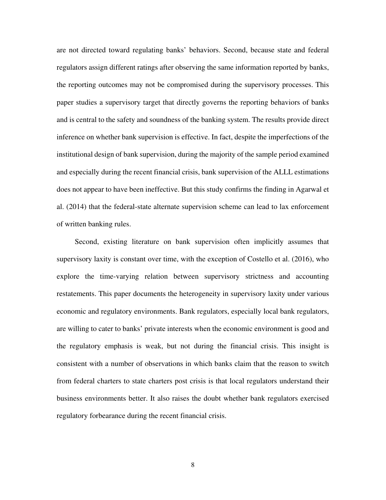are not directed toward regulating banks' behaviors. Second, because state and federal regulators assign different ratings after observing the same information reported by banks, the reporting outcomes may not be compromised during the supervisory processes. This paper studies a supervisory target that directly governs the reporting behaviors of banks and is central to the safety and soundness of the banking system. The results provide direct inference on whether bank supervision is effective. In fact, despite the imperfections of the institutional design of bank supervision, during the majority of the sample period examined and especially during the recent financial crisis, bank supervision of the ALLL estimations does not appear to have been ineffective. But this study confirms the finding in Agarwal et al. (2014) that the federal-state alternate supervision scheme can lead to lax enforcement of written banking rules.

 Second, existing literature on bank supervision often implicitly assumes that supervisory laxity is constant over time, with the exception of Costello et al. (2016), who explore the time-varying relation between supervisory strictness and accounting restatements. This paper documents the heterogeneity in supervisory laxity under various economic and regulatory environments. Bank regulators, especially local bank regulators, are willing to cater to banks' private interests when the economic environment is good and the regulatory emphasis is weak, but not during the financial crisis. This insight is consistent with a number of observations in which banks claim that the reason to switch from federal charters to state charters post crisis is that local regulators understand their business environments better. It also raises the doubt whether bank regulators exercised regulatory forbearance during the recent financial crisis.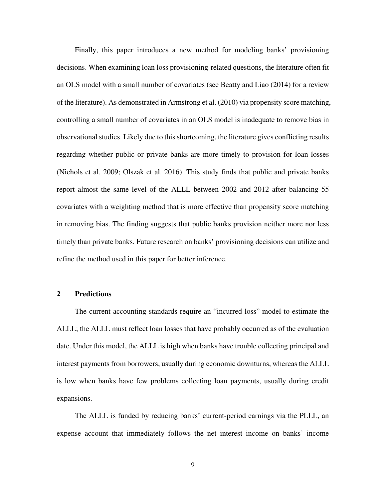Finally, this paper introduces a new method for modeling banks' provisioning decisions. When examining loan loss provisioning-related questions, the literature often fit an OLS model with a small number of covariates (see Beatty and Liao (2014) for a review of the literature). As demonstrated in Armstrong et al. (2010) via propensity score matching, controlling a small number of covariates in an OLS model is inadequate to remove bias in observational studies. Likely due to this shortcoming, the literature gives conflicting results regarding whether public or private banks are more timely to provision for loan losses (Nichols et al. 2009; Olszak et al. 2016). This study finds that public and private banks report almost the same level of the ALLL between 2002 and 2012 after balancing 55 covariates with a weighting method that is more effective than propensity score matching in removing bias. The finding suggests that public banks provision neither more nor less timely than private banks. Future research on banks' provisioning decisions can utilize and refine the method used in this paper for better inference.

# **2 Predictions**

The current accounting standards require an "incurred loss" model to estimate the ALLL; the ALLL must reflect loan losses that have probably occurred as of the evaluation date. Under this model, the ALLL is high when banks have trouble collecting principal and interest payments from borrowers, usually during economic downturns, whereas the ALLL is low when banks have few problems collecting loan payments, usually during credit expansions.

The ALLL is funded by reducing banks' current-period earnings via the PLLL, an expense account that immediately follows the net interest income on banks' income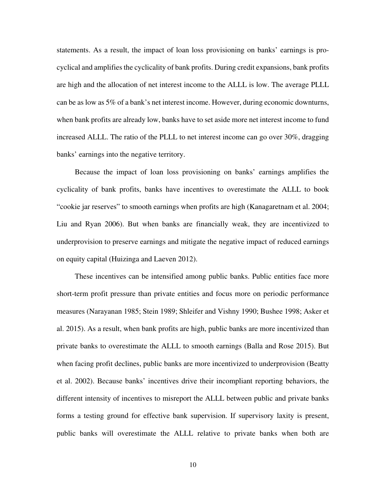statements. As a result, the impact of loan loss provisioning on banks' earnings is procyclical and amplifies the cyclicality of bank profits. During credit expansions, bank profits are high and the allocation of net interest income to the ALLL is low. The average PLLL can be as low as 5% of a bank's net interest income. However, during economic downturns, when bank profits are already low, banks have to set aside more net interest income to fund increased ALLL. The ratio of the PLLL to net interest income can go over 30%, dragging banks' earnings into the negative territory.

Because the impact of loan loss provisioning on banks' earnings amplifies the cyclicality of bank profits, banks have incentives to overestimate the ALLL to book "cookie jar reserves" to smooth earnings when profits are high (Kanagaretnam et al. 2004; Liu and Ryan 2006). But when banks are financially weak, they are incentivized to underprovision to preserve earnings and mitigate the negative impact of reduced earnings on equity capital (Huizinga and Laeven 2012).

These incentives can be intensified among public banks. Public entities face more short-term profit pressure than private entities and focus more on periodic performance measures (Narayanan 1985; Stein 1989; Shleifer and Vishny 1990; Bushee 1998; Asker et al. 2015). As a result, when bank profits are high, public banks are more incentivized than private banks to overestimate the ALLL to smooth earnings (Balla and Rose 2015). But when facing profit declines, public banks are more incentivized to underprovision (Beatty et al. 2002). Because banks' incentives drive their incompliant reporting behaviors, the different intensity of incentives to misreport the ALLL between public and private banks forms a testing ground for effective bank supervision. If supervisory laxity is present, public banks will overestimate the ALLL relative to private banks when both are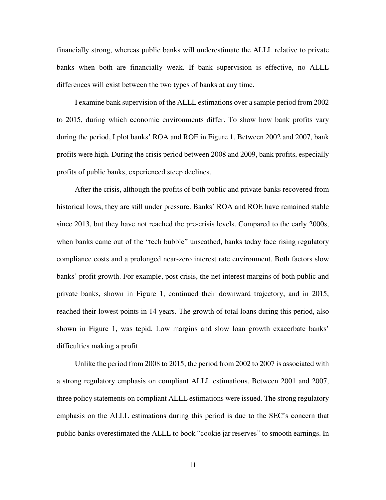financially strong, whereas public banks will underestimate the ALLL relative to private banks when both are financially weak. If bank supervision is effective, no ALLL differences will exist between the two types of banks at any time.

I examine bank supervision of the ALLL estimations over a sample period from 2002 to 2015, during which economic environments differ. To show how bank profits vary during the period, I plot banks' ROA and ROE in Figure 1. Between 2002 and 2007, bank profits were high. During the crisis period between 2008 and 2009, bank profits, especially profits of public banks, experienced steep declines.

After the crisis, although the profits of both public and private banks recovered from historical lows, they are still under pressure. Banks' ROA and ROE have remained stable since 2013, but they have not reached the pre-crisis levels. Compared to the early 2000s, when banks came out of the "tech bubble" unscathed, banks today face rising regulatory compliance costs and a prolonged near-zero interest rate environment. Both factors slow banks' profit growth. For example, post crisis, the net interest margins of both public and private banks, shown in Figure 1, continued their downward trajectory, and in 2015, reached their lowest points in 14 years. The growth of total loans during this period, also shown in Figure 1, was tepid. Low margins and slow loan growth exacerbate banks' difficulties making a profit.

Unlike the period from 2008 to 2015, the period from 2002 to 2007 is associated with a strong regulatory emphasis on compliant ALLL estimations. Between 2001 and 2007, three policy statements on compliant ALLL estimations were issued. The strong regulatory emphasis on the ALLL estimations during this period is due to the SEC's concern that public banks overestimated the ALLL to book "cookie jar reserves" to smooth earnings. In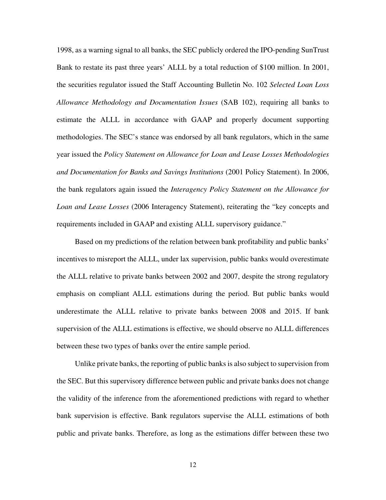1998, as a warning signal to all banks, the SEC publicly ordered the IPO-pending SunTrust Bank to restate its past three years' ALLL by a total reduction of \$100 million. In 2001, the securities regulator issued the Staff Accounting Bulletin No. 102 *Selected Loan Loss Allowance Methodology and Documentation Issues* (SAB 102), requiring all banks to estimate the ALLL in accordance with GAAP and properly document supporting methodologies. The SEC's stance was endorsed by all bank regulators, which in the same year issued the *Policy Statement on Allowance for Loan and Lease Losses Methodologies and Documentation for Banks and Savings Institutions* (2001 Policy Statement). In 2006, the bank regulators again issued the *Interagency Policy Statement on the Allowance for Loan and Lease Losses* (2006 Interagency Statement), reiterating the "key concepts and requirements included in GAAP and existing ALLL supervisory guidance."

Based on my predictions of the relation between bank profitability and public banks' incentives to misreport the ALLL, under lax supervision, public banks would overestimate the ALLL relative to private banks between 2002 and 2007, despite the strong regulatory emphasis on compliant ALLL estimations during the period. But public banks would underestimate the ALLL relative to private banks between 2008 and 2015. If bank supervision of the ALLL estimations is effective, we should observe no ALLL differences between these two types of banks over the entire sample period.

Unlike private banks, the reporting of public banks is also subject to supervision from the SEC. But this supervisory difference between public and private banks does not change the validity of the inference from the aforementioned predictions with regard to whether bank supervision is effective. Bank regulators supervise the ALLL estimations of both public and private banks. Therefore, as long as the estimations differ between these two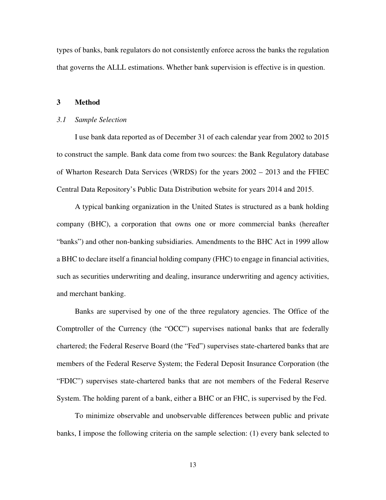types of banks, bank regulators do not consistently enforce across the banks the regulation that governs the ALLL estimations. Whether bank supervision is effective is in question.

#### **3 Method**

#### *3.1 Sample Selection*

I use bank data reported as of December 31 of each calendar year from 2002 to 2015 to construct the sample. Bank data come from two sources: the Bank Regulatory database of Wharton Research Data Services (WRDS) for the years 2002 – 2013 and the FFIEC Central Data Repository's Public Data Distribution website for years 2014 and 2015.

A typical banking organization in the United States is structured as a bank holding company (BHC), a corporation that owns one or more commercial banks (hereafter "banks") and other non-banking subsidiaries. Amendments to the BHC Act in 1999 allow a BHC to declare itself a financial holding company (FHC) to engage in financial activities, such as securities underwriting and dealing, insurance underwriting and agency activities, and merchant banking.

Banks are supervised by one of the three regulatory agencies. The Office of the Comptroller of the Currency (the "OCC") supervises national banks that are federally chartered; the Federal Reserve Board (the "Fed") supervises state-chartered banks that are members of the Federal Reserve System; the Federal Deposit Insurance Corporation (the "FDIC") supervises state-chartered banks that are not members of the Federal Reserve System. The holding parent of a bank, either a BHC or an FHC, is supervised by the Fed.

To minimize observable and unobservable differences between public and private banks, I impose the following criteria on the sample selection: (1) every bank selected to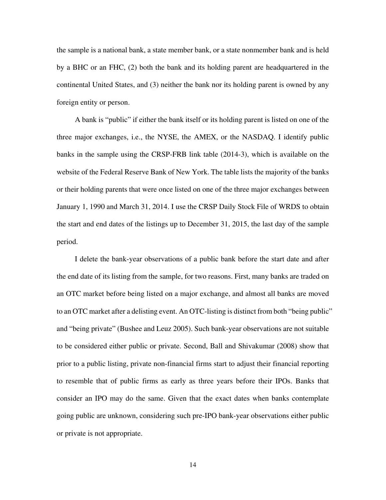the sample is a national bank, a state member bank, or a state nonmember bank and is held by a BHC or an FHC, (2) both the bank and its holding parent are headquartered in the continental United States, and (3) neither the bank nor its holding parent is owned by any foreign entity or person.

A bank is "public" if either the bank itself or its holding parent is listed on one of the three major exchanges, i.e., the NYSE, the AMEX, or the NASDAQ. I identify public banks in the sample using the CRSP-FRB link table (2014-3), which is available on the website of the Federal Reserve Bank of New York. The table lists the majority of the banks or their holding parents that were once listed on one of the three major exchanges between January 1, 1990 and March 31, 2014. I use the CRSP Daily Stock File of WRDS to obtain the start and end dates of the listings up to December 31, 2015, the last day of the sample period.

I delete the bank-year observations of a public bank before the start date and after the end date of its listing from the sample, for two reasons. First, many banks are traded on an OTC market before being listed on a major exchange, and almost all banks are moved to an OTC market after a delisting event. An OTC-listing is distinct from both "being public" and "being private" (Bushee and Leuz 2005). Such bank-year observations are not suitable to be considered either public or private. Second, Ball and Shivakumar (2008) show that prior to a public listing, private non-financial firms start to adjust their financial reporting to resemble that of public firms as early as three years before their IPOs. Banks that consider an IPO may do the same. Given that the exact dates when banks contemplate going public are unknown, considering such pre-IPO bank-year observations either public or private is not appropriate.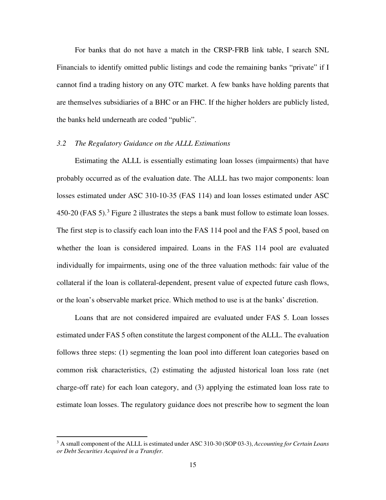For banks that do not have a match in the CRSP-FRB link table, I search SNL Financials to identify omitted public listings and code the remaining banks "private" if I cannot find a trading history on any OTC market. A few banks have holding parents that are themselves subsidiaries of a BHC or an FHC. If the higher holders are publicly listed, the banks held underneath are coded "public".

## *3.2 The Regulatory Guidance on the ALLL Estimations*

Estimating the ALLL is essentially estimating loan losses (impairments) that have probably occurred as of the evaluation date. The ALLL has two major components: loan losses estimated under ASC 310-10-35 (FAS 114) and loan losses estimated under ASC 450-20 (FAS 5). [3](#page-15-0) Figure 2 illustrates the steps a bank must follow to estimate loan losses. The first step is to classify each loan into the FAS 114 pool and the FAS 5 pool, based on whether the loan is considered impaired. Loans in the FAS 114 pool are evaluated individually for impairments, using one of the three valuation methods: fair value of the collateral if the loan is collateral-dependent, present value of expected future cash flows, or the loan's observable market price. Which method to use is at the banks' discretion.

Loans that are not considered impaired are evaluated under FAS 5. Loan losses estimated under FAS 5 often constitute the largest component of the ALLL. The evaluation follows three steps: (1) segmenting the loan pool into different loan categories based on common risk characteristics, (2) estimating the adjusted historical loan loss rate (net charge-off rate) for each loan category, and (3) applying the estimated loan loss rate to estimate loan losses. The regulatory guidance does not prescribe how to segment the loan

l

<span id="page-15-0"></span><sup>3</sup> A small component of the ALLL is estimated under ASC 310-30 (SOP 03-3), *Accounting for Certain Loans or Debt Securities Acquired in a Transfer.*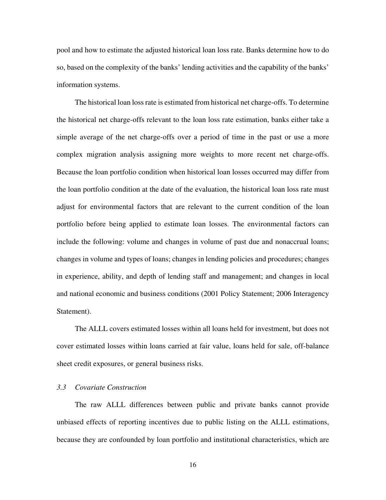pool and how to estimate the adjusted historical loan loss rate. Banks determine how to do so, based on the complexity of the banks' lending activities and the capability of the banks' information systems.

The historical loan loss rate is estimated from historical net charge-offs. To determine the historical net charge-offs relevant to the loan loss rate estimation, banks either take a simple average of the net charge-offs over a period of time in the past or use a more complex migration analysis assigning more weights to more recent net charge-offs. Because the loan portfolio condition when historical loan losses occurred may differ from the loan portfolio condition at the date of the evaluation, the historical loan loss rate must adjust for environmental factors that are relevant to the current condition of the loan portfolio before being applied to estimate loan losses. The environmental factors can include the following: volume and changes in volume of past due and nonaccrual loans; changes in volume and types of loans; changes in lending policies and procedures; changes in experience, ability, and depth of lending staff and management; and changes in local and national economic and business conditions (2001 Policy Statement; 2006 Interagency Statement).

The ALLL covers estimated losses within all loans held for investment, but does not cover estimated losses within loans carried at fair value, loans held for sale, off-balance sheet credit exposures, or general business risks.

# *3.3 Covariate Construction*

The raw ALLL differences between public and private banks cannot provide unbiased effects of reporting incentives due to public listing on the ALLL estimations, because they are confounded by loan portfolio and institutional characteristics, which are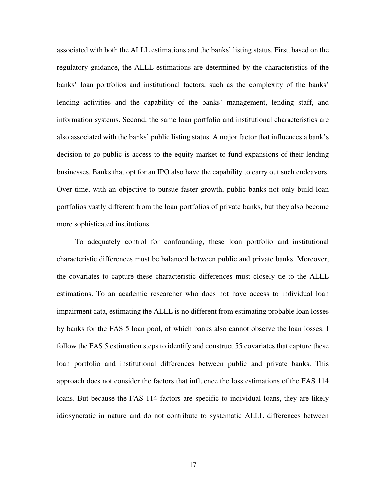associated with both the ALLL estimations and the banks' listing status. First, based on the regulatory guidance, the ALLL estimations are determined by the characteristics of the banks' loan portfolios and institutional factors, such as the complexity of the banks' lending activities and the capability of the banks' management, lending staff, and information systems. Second, the same loan portfolio and institutional characteristics are also associated with the banks' public listing status. A major factor that influences a bank's decision to go public is access to the equity market to fund expansions of their lending businesses. Banks that opt for an IPO also have the capability to carry out such endeavors. Over time, with an objective to pursue faster growth, public banks not only build loan portfolios vastly different from the loan portfolios of private banks, but they also become more sophisticated institutions.

To adequately control for confounding, these loan portfolio and institutional characteristic differences must be balanced between public and private banks. Moreover, the covariates to capture these characteristic differences must closely tie to the ALLL estimations. To an academic researcher who does not have access to individual loan impairment data, estimating the ALLL is no different from estimating probable loan losses by banks for the FAS 5 loan pool, of which banks also cannot observe the loan losses. I follow the FAS 5 estimation steps to identify and construct 55 covariates that capture these loan portfolio and institutional differences between public and private banks. This approach does not consider the factors that influence the loss estimations of the FAS 114 loans. But because the FAS 114 factors are specific to individual loans, they are likely idiosyncratic in nature and do not contribute to systematic ALLL differences between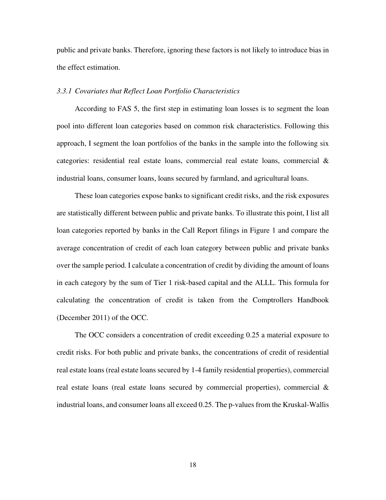public and private banks. Therefore, ignoring these factors is not likely to introduce bias in the effect estimation.

## *3.3.1 Covariates that Reflect Loan Portfolio Characteristics*

According to FAS 5, the first step in estimating loan losses is to segment the loan pool into different loan categories based on common risk characteristics. Following this approach, I segment the loan portfolios of the banks in the sample into the following six categories: residential real estate loans, commercial real estate loans, commercial  $\&$ industrial loans, consumer loans, loans secured by farmland, and agricultural loans.

These loan categories expose banks to significant credit risks, and the risk exposures are statistically different between public and private banks. To illustrate this point, I list all loan categories reported by banks in the Call Report filings in Figure 1 and compare the average concentration of credit of each loan category between public and private banks over the sample period. I calculate a concentration of credit by dividing the amount of loans in each category by the sum of Tier 1 risk-based capital and the ALLL. This formula for calculating the concentration of credit is taken from the Comptrollers Handbook (December 2011) of the OCC.

The OCC considers a concentration of credit exceeding 0.25 a material exposure to credit risks. For both public and private banks, the concentrations of credit of residential real estate loans (real estate loans secured by 1-4 family residential properties), commercial real estate loans (real estate loans secured by commercial properties), commercial & industrial loans, and consumer loans all exceed 0.25. The p-values from the Kruskal-Wallis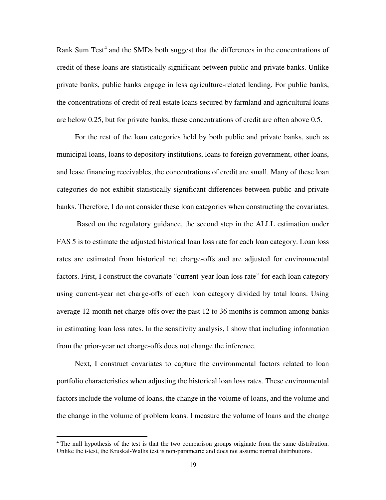Rank Sum Test<sup>[4](#page-19-0)</sup> and the SMDs both suggest that the differences in the concentrations of credit of these loans are statistically significant between public and private banks. Unlike private banks, public banks engage in less agriculture-related lending. For public banks, the concentrations of credit of real estate loans secured by farmland and agricultural loans are below 0.25, but for private banks, these concentrations of credit are often above 0.5.

For the rest of the loan categories held by both public and private banks, such as municipal loans, loans to depository institutions, loans to foreign government, other loans, and lease financing receivables, the concentrations of credit are small. Many of these loan categories do not exhibit statistically significant differences between public and private banks. Therefore, I do not consider these loan categories when constructing the covariates.

Based on the regulatory guidance, the second step in the ALLL estimation under FAS 5 is to estimate the adjusted historical loan loss rate for each loan category. Loan loss rates are estimated from historical net charge-offs and are adjusted for environmental factors. First, I construct the covariate "current-year loan loss rate" for each loan category using current-year net charge-offs of each loan category divided by total loans. Using average 12-month net charge-offs over the past 12 to 36 months is common among banks in estimating loan loss rates. In the sensitivity analysis, I show that including information from the prior-year net charge-offs does not change the inference.

Next, I construct covariates to capture the environmental factors related to loan portfolio characteristics when adjusting the historical loan loss rates. These environmental factors include the volume of loans, the change in the volume of loans, and the volume and the change in the volume of problem loans. I measure the volume of loans and the change

l

<span id="page-19-0"></span><sup>&</sup>lt;sup>4</sup> The null hypothesis of the test is that the two comparison groups originate from the same distribution. Unlike the t-test, the Kruskal-Wallis test is non-parametric and does not assume normal distributions.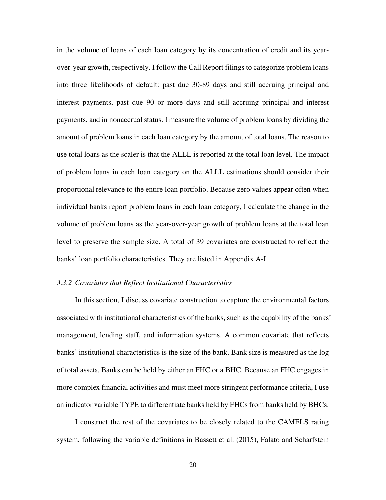in the volume of loans of each loan category by its concentration of credit and its yearover-year growth, respectively. I follow the Call Report filings to categorize problem loans into three likelihoods of default: past due 30-89 days and still accruing principal and interest payments, past due 90 or more days and still accruing principal and interest payments, and in nonaccrual status. I measure the volume of problem loans by dividing the amount of problem loans in each loan category by the amount of total loans. The reason to use total loans as the scaler is that the ALLL is reported at the total loan level. The impact of problem loans in each loan category on the ALLL estimations should consider their proportional relevance to the entire loan portfolio. Because zero values appear often when individual banks report problem loans in each loan category, I calculate the change in the volume of problem loans as the year-over-year growth of problem loans at the total loan level to preserve the sample size. A total of 39 covariates are constructed to reflect the banks' loan portfolio characteristics. They are listed in Appendix A-I.

## *3.3.2 Covariates that Reflect Institutional Characteristics*

In this section, I discuss covariate construction to capture the environmental factors associated with institutional characteristics of the banks, such as the capability of the banks' management, lending staff, and information systems. A common covariate that reflects banks' institutional characteristics is the size of the bank. Bank size is measured as the log of total assets. Banks can be held by either an FHC or a BHC. Because an FHC engages in more complex financial activities and must meet more stringent performance criteria, I use an indicator variable TYPE to differentiate banks held by FHCs from banks held by BHCs.

I construct the rest of the covariates to be closely related to the CAMELS rating system, following the variable definitions in Bassett et al. (2015), Falato and Scharfstein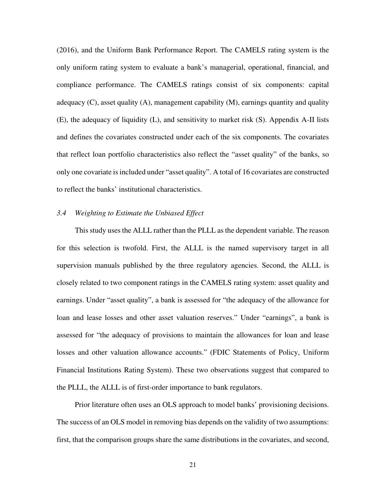(2016), and the Uniform Bank Performance Report. The CAMELS rating system is the only uniform rating system to evaluate a bank's managerial, operational, financial, and compliance performance. The CAMELS ratings consist of six components: capital adequacy (C), asset quality (A), management capability (M), earnings quantity and quality (E), the adequacy of liquidity (L), and sensitivity to market risk (S). Appendix A-II lists and defines the covariates constructed under each of the six components. The covariates that reflect loan portfolio characteristics also reflect the "asset quality" of the banks, so only one covariate is included under "asset quality". A total of 16 covariates are constructed to reflect the banks' institutional characteristics.

## *3.4 Weighting to Estimate the Unbiased Effect*

This study uses the ALLL rather than the PLLL as the dependent variable. The reason for this selection is twofold. First, the ALLL is the named supervisory target in all supervision manuals published by the three regulatory agencies. Second, the ALLL is closely related to two component ratings in the CAMELS rating system: asset quality and earnings. Under "asset quality", a bank is assessed for "the adequacy of the allowance for loan and lease losses and other asset valuation reserves." Under "earnings", a bank is assessed for "the adequacy of provisions to maintain the allowances for loan and lease losses and other valuation allowance accounts." (FDIC Statements of Policy, Uniform Financial Institutions Rating System). These two observations suggest that compared to the PLLL, the ALLL is of first-order importance to bank regulators.

Prior literature often uses an OLS approach to model banks' provisioning decisions. The success of an OLS model in removing bias depends on the validity of two assumptions: first, that the comparison groups share the same distributions in the covariates, and second,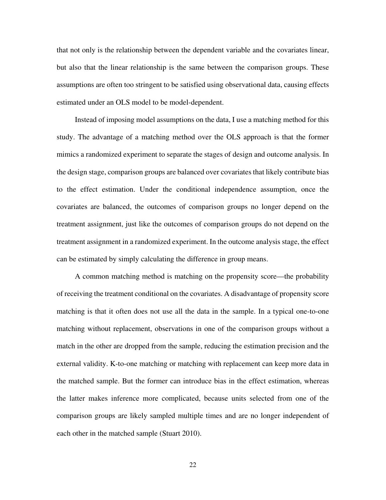that not only is the relationship between the dependent variable and the covariates linear, but also that the linear relationship is the same between the comparison groups. These assumptions are often too stringent to be satisfied using observational data, causing effects estimated under an OLS model to be model-dependent.

Instead of imposing model assumptions on the data, I use a matching method for this study. The advantage of a matching method over the OLS approach is that the former mimics a randomized experiment to separate the stages of design and outcome analysis. In the design stage, comparison groups are balanced over covariates that likely contribute bias to the effect estimation. Under the conditional independence assumption, once the covariates are balanced, the outcomes of comparison groups no longer depend on the treatment assignment, just like the outcomes of comparison groups do not depend on the treatment assignment in a randomized experiment. In the outcome analysis stage, the effect can be estimated by simply calculating the difference in group means.

A common matching method is matching on the propensity score—the probability of receiving the treatment conditional on the covariates. A disadvantage of propensity score matching is that it often does not use all the data in the sample. In a typical one-to-one matching without replacement, observations in one of the comparison groups without a match in the other are dropped from the sample, reducing the estimation precision and the external validity. K-to-one matching or matching with replacement can keep more data in the matched sample. But the former can introduce bias in the effect estimation, whereas the latter makes inference more complicated, because units selected from one of the comparison groups are likely sampled multiple times and are no longer independent of each other in the matched sample (Stuart 2010).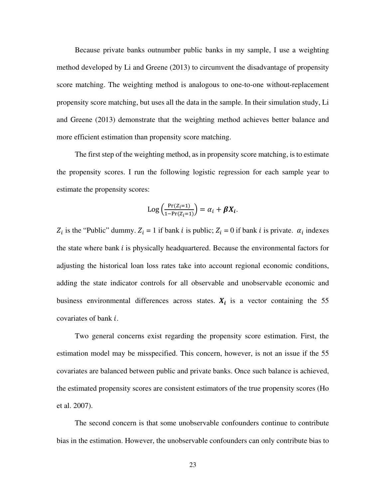Because private banks outnumber public banks in my sample, I use a weighting method developed by Li and Greene (2013) to circumvent the disadvantage of propensity score matching. The weighting method is analogous to one-to-one without-replacement propensity score matching, but uses all the data in the sample. In their simulation study, Li and Greene (2013) demonstrate that the weighting method achieves better balance and more efficient estimation than propensity score matching.

 The first step of the weighting method, as in propensity score matching, is to estimate the propensity scores. I run the following logistic regression for each sample year to estimate the propensity scores:

$$
Log\left(\frac{Pr(Z_i=1)}{1-Pr(Z_i=1)}\right) = \alpha_i + \beta X_i.
$$

 $Z_i$  is the "Public" dummy.  $Z_i = 1$  if bank *i* is public;  $Z_i = 0$  if bank *i* is private.  $\alpha_i$  indexes the state where bank  $i$  is physically headquartered. Because the environmental factors for adjusting the historical loan loss rates take into account regional economic conditions, adding the state indicator controls for all observable and unobservable economic and business environmental differences across states.  $X_i$  is a vector containing the 55 covariates of bank  $i$ .

 Two general concerns exist regarding the propensity score estimation. First, the estimation model may be misspecified. This concern, however, is not an issue if the 55 covariates are balanced between public and private banks. Once such balance is achieved, the estimated propensity scores are consistent estimators of the true propensity scores (Ho et al. 2007).

The second concern is that some unobservable confounders continue to contribute bias in the estimation. However, the unobservable confounders can only contribute bias to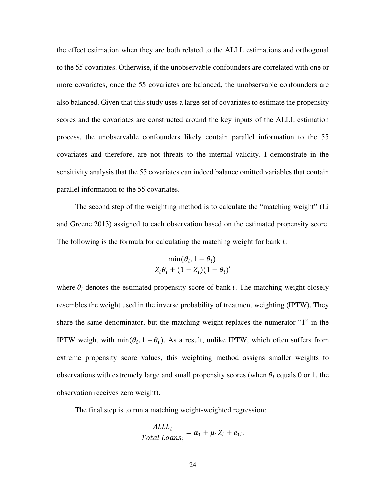the effect estimation when they are both related to the ALLL estimations and orthogonal to the 55 covariates. Otherwise, if the unobservable confounders are correlated with one or more covariates, once the 55 covariates are balanced, the unobservable confounders are also balanced. Given that this study uses a large set of covariates to estimate the propensity scores and the covariates are constructed around the key inputs of the ALLL estimation process, the unobservable confounders likely contain parallel information to the 55 covariates and therefore, are not threats to the internal validity. I demonstrate in the sensitivity analysis that the 55 covariates can indeed balance omitted variables that contain parallel information to the 55 covariates.

The second step of the weighting method is to calculate the "matching weight" (Li and Greene 2013) assigned to each observation based on the estimated propensity score. The following is the formula for calculating the matching weight for bank  $i$ :

$$
\frac{\min(\theta_i, 1 - \theta_i)}{Z_i \theta_i + (1 - Z_i)(1 - \theta_i)}
$$

where  $\theta_i$  denotes the estimated propensity score of bank *i*. The matching weight closely resembles the weight used in the inverse probability of treatment weighting (IPTW). They share the same denominator, but the matching weight replaces the numerator "1" in the IPTW weight with  $\min(\theta_i, 1 - \theta_i)$ . As a result, unlike IPTW, which often suffers from extreme propensity score values, this weighting method assigns smaller weights to observations with extremely large and small propensity scores (when  $\theta_i$  equals 0 or 1, the observation receives zero weight).

The final step is to run a matching weight-weighted regression:

$$
\frac{ALL_i}{Total\; Loans_i} = \alpha_1 + \mu_1 Z_i + e_{1i}.
$$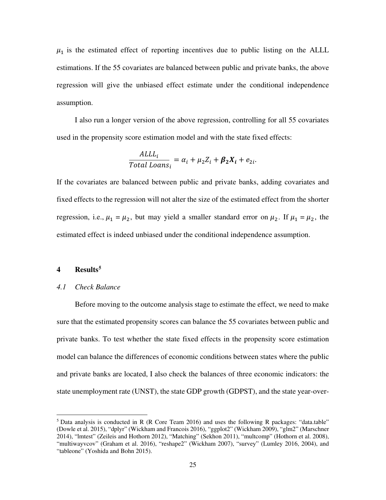$\mu_1$  is the estimated effect of reporting incentives due to public listing on the ALLL estimations. If the 55 covariates are balanced between public and private banks, the above regression will give the unbiased effect estimate under the conditional independence assumption.

I also run a longer version of the above regression, controlling for all 55 covariates used in the propensity score estimation model and with the state fixed effects:

$$
\frac{ALL_i}{Total\; Loans_i} = \alpha_i + \mu_2 Z_i + \beta_2 X_i + e_{2i}.
$$

If the covariates are balanced between public and private banks, adding covariates and fixed effects to the regression will not alter the size of the estimated effect from the shorter regression, i.e.,  $\mu_1 = \mu_2$ , but may yield a smaller standard error on  $\mu_2$ . If  $\mu_1 = \mu_2$ , the estimated effect is indeed unbiased under the conditional independence assumption.

# **4 Results[5](#page-25-0)**

l

#### *4.1 Check Balance*

Before moving to the outcome analysis stage to estimate the effect, we need to make sure that the estimated propensity scores can balance the 55 covariates between public and private banks. To test whether the state fixed effects in the propensity score estimation model can balance the differences of economic conditions between states where the public and private banks are located, I also check the balances of three economic indicators: the state unemployment rate (UNST), the state GDP growth (GDPST), and the state year-over-

<span id="page-25-0"></span><sup>5</sup> Data analysis is conducted in R (R Core Team 2016) and uses the following R packages: "data.table" (Dowle et al. 2015), "dplyr" (Wickham and Francois 2016), "ggplot2" (Wickham 2009), "glm2" (Marschner 2014), "lmtest" (Zeileis and Hothorn 2012), "Matching" (Sekhon 2011), "multcomp" (Hothorn et al. 2008), "multiwayvcov" (Graham et al. 2016), "reshape2" (Wickham 2007), "survey" (Lumley 2016, 2004), and "tableone" (Yoshida and Bohn 2015).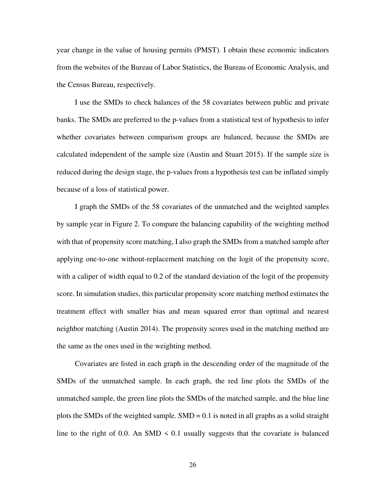year change in the value of housing permits (PMST). I obtain these economic indicators from the websites of the Bureau of Labor Statistics, the Bureau of Economic Analysis, and the Census Bureau, respectively.

I use the SMDs to check balances of the 58 covariates between public and private banks. The SMDs are preferred to the p-values from a statistical test of hypothesis to infer whether covariates between comparison groups are balanced, because the SMDs are calculated independent of the sample size (Austin and Stuart 2015). If the sample size is reduced during the design stage, the p-values from a hypothesis test can be inflated simply because of a loss of statistical power.

I graph the SMDs of the 58 covariates of the unmatched and the weighted samples by sample year in Figure 2. To compare the balancing capability of the weighting method with that of propensity score matching, I also graph the SMDs from a matched sample after applying one-to-one without-replacement matching on the logit of the propensity score, with a caliper of width equal to 0.2 of the standard deviation of the logit of the propensity score. In simulation studies, this particular propensity score matching method estimates the treatment effect with smaller bias and mean squared error than optimal and nearest neighbor matching (Austin 2014). The propensity scores used in the matching method are the same as the ones used in the weighting method.

Covariates are listed in each graph in the descending order of the magnitude of the SMDs of the unmatched sample. In each graph, the red line plots the SMDs of the unmatched sample, the green line plots the SMDs of the matched sample, and the blue line plots the SMDs of the weighted sample.  $SMD = 0.1$  is noted in all graphs as a solid straight line to the right of 0.0. An SMD  $\leq$  0.1 usually suggests that the covariate is balanced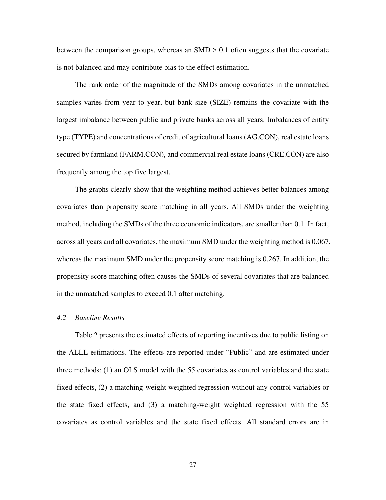between the comparison groups, whereas an  $SMD > 0.1$  often suggests that the covariate is not balanced and may contribute bias to the effect estimation.

The rank order of the magnitude of the SMDs among covariates in the unmatched samples varies from year to year, but bank size (SIZE) remains the covariate with the largest imbalance between public and private banks across all years. Imbalances of entity type (TYPE) and concentrations of credit of agricultural loans (AG.CON), real estate loans secured by farmland (FARM.CON), and commercial real estate loans (CRE.CON) are also frequently among the top five largest.

The graphs clearly show that the weighting method achieves better balances among covariates than propensity score matching in all years. All SMDs under the weighting method, including the SMDs of the three economic indicators, are smaller than 0.1. In fact, across all years and all covariates, the maximum SMD under the weighting method is 0.067, whereas the maximum SMD under the propensity score matching is 0.267. In addition, the propensity score matching often causes the SMDs of several covariates that are balanced in the unmatched samples to exceed 0.1 after matching.

#### *4.2 Baseline Results*

Table 2 presents the estimated effects of reporting incentives due to public listing on the ALLL estimations. The effects are reported under "Public" and are estimated under three methods: (1) an OLS model with the 55 covariates as control variables and the state fixed effects, (2) a matching-weight weighted regression without any control variables or the state fixed effects, and (3) a matching-weight weighted regression with the 55 covariates as control variables and the state fixed effects. All standard errors are in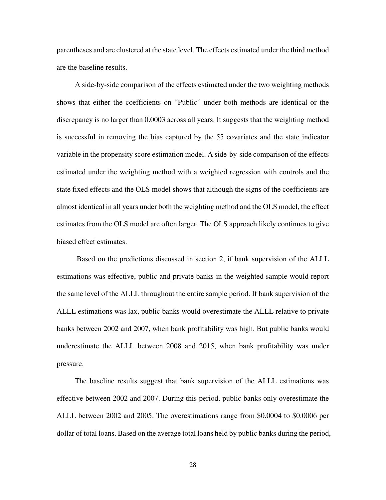parentheses and are clustered at the state level. The effects estimated under the third method are the baseline results.

A side-by-side comparison of the effects estimated under the two weighting methods shows that either the coefficients on "Public" under both methods are identical or the discrepancy is no larger than 0.0003 across all years. It suggests that the weighting method is successful in removing the bias captured by the 55 covariates and the state indicator variable in the propensity score estimation model. A side-by-side comparison of the effects estimated under the weighting method with a weighted regression with controls and the state fixed effects and the OLS model shows that although the signs of the coefficients are almost identical in all years under both the weighting method and the OLS model, the effect estimates from the OLS model are often larger. The OLS approach likely continues to give biased effect estimates.

 Based on the predictions discussed in section 2, if bank supervision of the ALLL estimations was effective, public and private banks in the weighted sample would report the same level of the ALLL throughout the entire sample period. If bank supervision of the ALLL estimations was lax, public banks would overestimate the ALLL relative to private banks between 2002 and 2007, when bank profitability was high. But public banks would underestimate the ALLL between 2008 and 2015, when bank profitability was under pressure.

The baseline results suggest that bank supervision of the ALLL estimations was effective between 2002 and 2007. During this period, public banks only overestimate the ALLL between 2002 and 2005. The overestimations range from \$0.0004 to \$0.0006 per dollar of total loans. Based on the average total loans held by public banks during the period,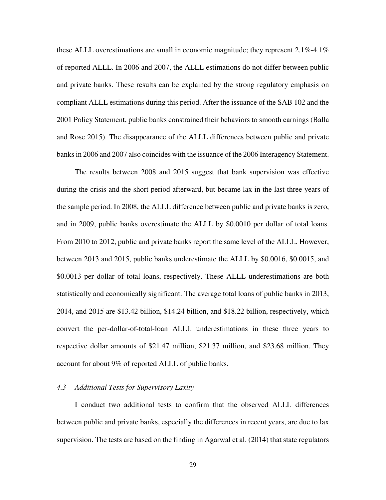these ALLL overestimations are small in economic magnitude; they represent  $2.1\%$ -4.1% of reported ALLL. In 2006 and 2007, the ALLL estimations do not differ between public and private banks. These results can be explained by the strong regulatory emphasis on compliant ALLL estimations during this period. After the issuance of the SAB 102 and the 2001 Policy Statement, public banks constrained their behaviors to smooth earnings (Balla and Rose 2015). The disappearance of the ALLL differences between public and private banks in 2006 and 2007 also coincides with the issuance of the 2006 Interagency Statement.

The results between 2008 and 2015 suggest that bank supervision was effective during the crisis and the short period afterward, but became lax in the last three years of the sample period. In 2008, the ALLL difference between public and private banks is zero, and in 2009, public banks overestimate the ALLL by \$0.0010 per dollar of total loans. From 2010 to 2012, public and private banks report the same level of the ALLL. However, between 2013 and 2015, public banks underestimate the ALLL by \$0.0016, \$0.0015, and \$0.0013 per dollar of total loans, respectively. These ALLL underestimations are both statistically and economically significant. The average total loans of public banks in 2013, 2014, and 2015 are \$13.42 billion, \$14.24 billion, and \$18.22 billion, respectively, which convert the per-dollar-of-total-loan ALLL underestimations in these three years to respective dollar amounts of \$21.47 million, \$21.37 million, and \$23.68 million. They account for about 9% of reported ALLL of public banks.

#### *4.3 Additional Tests for Supervisory Laxity*

I conduct two additional tests to confirm that the observed ALLL differences between public and private banks, especially the differences in recent years, are due to lax supervision. The tests are based on the finding in Agarwal et al. (2014) that state regulators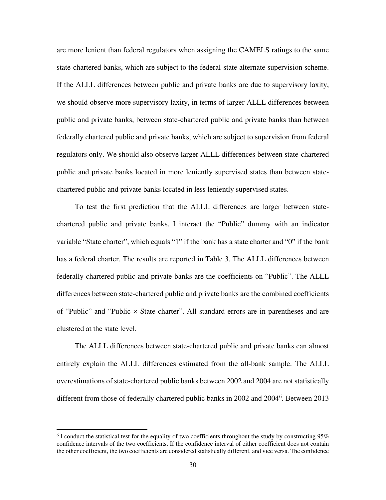are more lenient than federal regulators when assigning the CAMELS ratings to the same state-chartered banks, which are subject to the federal-state alternate supervision scheme. If the ALLL differences between public and private banks are due to supervisory laxity, we should observe more supervisory laxity, in terms of larger ALLL differences between public and private banks, between state-chartered public and private banks than between federally chartered public and private banks, which are subject to supervision from federal regulators only. We should also observe larger ALLL differences between state-chartered public and private banks located in more leniently supervised states than between statechartered public and private banks located in less leniently supervised states.

To test the first prediction that the ALLL differences are larger between statechartered public and private banks, I interact the "Public" dummy with an indicator variable "State charter", which equals "1" if the bank has a state charter and "0" if the bank has a federal charter. The results are reported in Table 3. The ALLL differences between federally chartered public and private banks are the coefficients on "Public". The ALLL differences between state-chartered public and private banks are the combined coefficients of "Public" and "Public  $\times$  State charter". All standard errors are in parentheses and are clustered at the state level.

 The ALLL differences between state-chartered public and private banks can almost entirely explain the ALLL differences estimated from the all-bank sample. The ALLL overestimations of state-chartered public banks between 2002 and 2004 are not statistically different from those of federally chartered public banks in 2002 and 2004<sup>[6](#page-30-0)</sup>. Between 2013

l

<span id="page-30-0"></span> $6$  I conduct the statistical test for the equality of two coefficients throughout the study by constructing 95% confidence intervals of the two coefficients. If the confidence interval of either coefficient does not contain the other coefficient, the two coefficients are considered statistically different, and vice versa. The confidence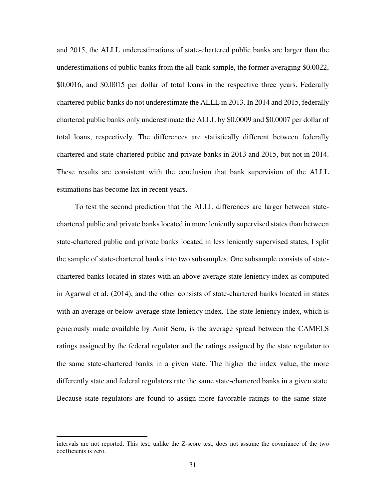and 2015, the ALLL underestimations of state-chartered public banks are larger than the underestimations of public banks from the all-bank sample, the former averaging \$0.0022, \$0.0016, and \$0.0015 per dollar of total loans in the respective three years. Federally chartered public banks do not underestimate the ALLL in 2013. In 2014 and 2015, federally chartered public banks only underestimate the ALLL by \$0.0009 and \$0.0007 per dollar of total loans, respectively. The differences are statistically different between federally chartered and state-chartered public and private banks in 2013 and 2015, but not in 2014. These results are consistent with the conclusion that bank supervision of the ALLL estimations has become lax in recent years.

To test the second prediction that the ALLL differences are larger between statechartered public and private banks located in more leniently supervised states than between state-chartered public and private banks located in less leniently supervised states, I split the sample of state-chartered banks into two subsamples. One subsample consists of statechartered banks located in states with an above-average state leniency index as computed in Agarwal et al. (2014), and the other consists of state-chartered banks located in states with an average or below-average state leniency index. The state leniency index, which is generously made available by Amit Seru, is the average spread between the CAMELS ratings assigned by the federal regulator and the ratings assigned by the state regulator to the same state-chartered banks in a given state. The higher the index value, the more differently state and federal regulators rate the same state-chartered banks in a given state. Because state regulators are found to assign more favorable ratings to the same state-

 $\overline{a}$ 

intervals are not reported. This test, unlike the Z-score test, does not assume the covariance of the two coefficients is zero.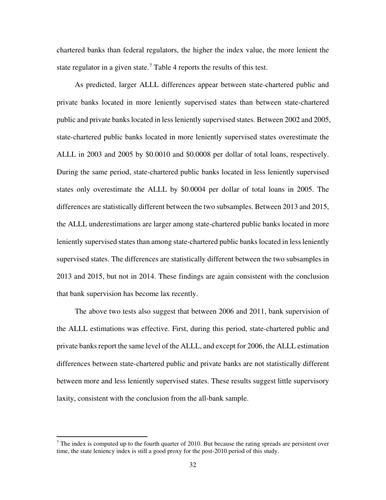chartered banks than federal regulators, the higher the index value, the more lenient the state regulator in a given state.<sup>[7](#page-32-0)</sup> Table 4 reports the results of this test.

As predicted, larger ALLL differences appear between state-chartered public and private banks located in more leniently supervised states than between state-chartered public and private banks located in less leniently supervised states. Between 2002 and 2005, state-chartered public banks located in more leniently supervised states overestimate the ALLL in 2003 and 2005 by \$0.0010 and \$0.0008 per dollar of total loans, respectively. During the same period, state-chartered public banks located in less leniently supervised states only overestimate the ALLL by \$0.0004 per dollar of total loans in 2005. The differences are statistically different between the two subsamples. Between 2013 and 2015, the ALLL underestimations are larger among state-chartered public banks located in more leniently supervised states than among state-chartered public banks located in less leniently supervised states. The differences are statistically different between the two subsamples in 2013 and 2015, but not in 2014. These findings are again consistent with the conclusion that bank supervision has become lax recently.

The above two tests also suggest that between 2006 and 2011, bank supervision of the ALLL estimations was effective. First, during this period, state-chartered public and private banks report the same level of the ALLL, and except for 2006, the ALLL estimation differences between state-chartered public and private banks are not statistically different between more and less leniently supervised states. These results suggest little supervisory laxity, consistent with the conclusion from the all-bank sample.

l

<span id="page-32-0"></span> $<sup>7</sup>$  The index is computed up to the fourth quarter of 2010. But because the rating spreads are persistent over</sup> time, the state leniency index is still a good proxy for the post-2010 period of this study.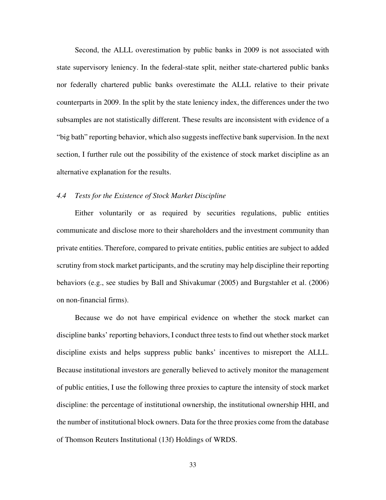Second, the ALLL overestimation by public banks in 2009 is not associated with state supervisory leniency. In the federal-state split, neither state-chartered public banks nor federally chartered public banks overestimate the ALLL relative to their private counterparts in 2009. In the split by the state leniency index, the differences under the two subsamples are not statistically different. These results are inconsistent with evidence of a "big bath" reporting behavior, which also suggests ineffective bank supervision. In the next section, I further rule out the possibility of the existence of stock market discipline as an alternative explanation for the results.

## *4.4 Tests for the Existence of Stock Market Discipline*

Either voluntarily or as required by securities regulations, public entities communicate and disclose more to their shareholders and the investment community than private entities. Therefore, compared to private entities, public entities are subject to added scrutiny from stock market participants, and the scrutiny may help discipline their reporting behaviors (e.g., see studies by Ball and Shivakumar (2005) and Burgstahler et al. (2006) on non-financial firms).

Because we do not have empirical evidence on whether the stock market can discipline banks' reporting behaviors, I conduct three tests to find out whether stock market discipline exists and helps suppress public banks' incentives to misreport the ALLL. Because institutional investors are generally believed to actively monitor the management of public entities, I use the following three proxies to capture the intensity of stock market discipline: the percentage of institutional ownership, the institutional ownership HHI, and the number of institutional block owners. Data for the three proxies come from the database of Thomson Reuters Institutional (13f) Holdings of WRDS.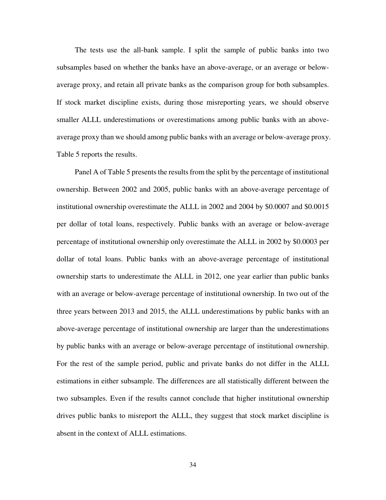The tests use the all-bank sample. I split the sample of public banks into two subsamples based on whether the banks have an above-average, or an average or belowaverage proxy, and retain all private banks as the comparison group for both subsamples. If stock market discipline exists, during those misreporting years, we should observe smaller ALLL underestimations or overestimations among public banks with an aboveaverage proxy than we should among public banks with an average or below-average proxy. Table 5 reports the results.

Panel A of Table 5 presents the results from the split by the percentage of institutional ownership. Between 2002 and 2005, public banks with an above-average percentage of institutional ownership overestimate the ALLL in 2002 and 2004 by \$0.0007 and \$0.0015 per dollar of total loans, respectively. Public banks with an average or below-average percentage of institutional ownership only overestimate the ALLL in 2002 by \$0.0003 per dollar of total loans. Public banks with an above-average percentage of institutional ownership starts to underestimate the ALLL in 2012, one year earlier than public banks with an average or below-average percentage of institutional ownership. In two out of the three years between 2013 and 2015, the ALLL underestimations by public banks with an above-average percentage of institutional ownership are larger than the underestimations by public banks with an average or below-average percentage of institutional ownership. For the rest of the sample period, public and private banks do not differ in the ALLL estimations in either subsample. The differences are all statistically different between the two subsamples. Even if the results cannot conclude that higher institutional ownership drives public banks to misreport the ALLL, they suggest that stock market discipline is absent in the context of ALLL estimations.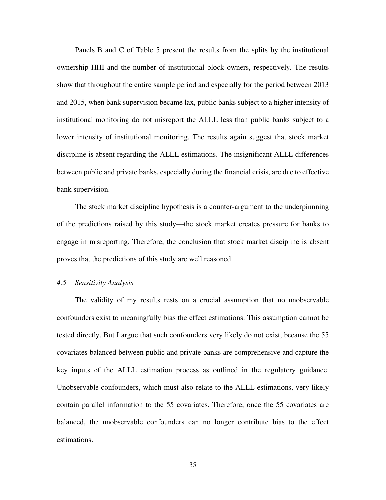Panels B and C of Table 5 present the results from the splits by the institutional ownership HHI and the number of institutional block owners, respectively. The results show that throughout the entire sample period and especially for the period between 2013 and 2015, when bank supervision became lax, public banks subject to a higher intensity of institutional monitoring do not misreport the ALLL less than public banks subject to a lower intensity of institutional monitoring. The results again suggest that stock market discipline is absent regarding the ALLL estimations. The insignificant ALLL differences between public and private banks, especially during the financial crisis, are due to effective bank supervision.

The stock market discipline hypothesis is a counter-argument to the underpinnning of the predictions raised by this study—the stock market creates pressure for banks to engage in misreporting. Therefore, the conclusion that stock market discipline is absent proves that the predictions of this study are well reasoned.

# *4.5 Sensitivity Analysis*

The validity of my results rests on a crucial assumption that no unobservable confounders exist to meaningfully bias the effect estimations. This assumption cannot be tested directly. But I argue that such confounders very likely do not exist, because the 55 covariates balanced between public and private banks are comprehensive and capture the key inputs of the ALLL estimation process as outlined in the regulatory guidance. Unobservable confounders, which must also relate to the ALLL estimations, very likely contain parallel information to the 55 covariates. Therefore, once the 55 covariates are balanced, the unobservable confounders can no longer contribute bias to the effect estimations.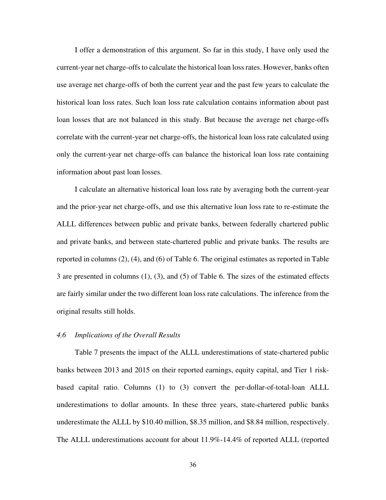I offer a demonstration of this argument. So far in this study, I have only used the current-year net charge-offs to calculate the historical loan loss rates. However, banks often use average net charge-offs of both the current year and the past few years to calculate the historical loan loss rates. Such loan loss rate calculation contains information about past loan losses that are not balanced in this study. But because the average net charge-offs correlate with the current-year net charge-offs, the historical loan loss rate calculated using only the current-year net charge-offs can balance the historical loan loss rate containing information about past loan losses.

I calculate an alternative historical loan loss rate by averaging both the current-year and the prior-year net charge-offs, and use this alternative loan loss rate to re-estimate the ALLL differences between public and private banks, between federally chartered public and private banks, and between state-chartered public and private banks. The results are reported in columns (2), (4), and (6) of Table 6. The original estimates as reported in Table 3 are presented in columns (1), (3), and (5) of Table 6. The sizes of the estimated effects are fairly similar under the two different loan loss rate calculations. The inference from the original results still holds.

## *4.6 Implications of the Overall Results*

Table 7 presents the impact of the ALLL underestimations of state-chartered public banks between 2013 and 2015 on their reported earnings, equity capital, and Tier 1 riskbased capital ratio. Columns (1) to (3) convert the per-dollar-of-total-loan ALLL underestimations to dollar amounts. In these three years, state-chartered public banks underestimate the ALLL by \$10.40 million, \$8.35 million, and \$8.84 million, respectively. The ALLL underestimations account for about 11.9%-14.4% of reported ALLL (reported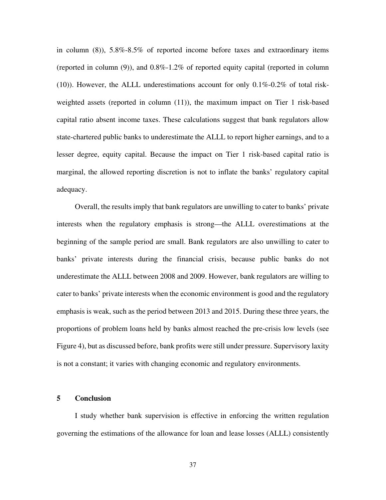in column (8)), 5.8%-8.5% of reported income before taxes and extraordinary items (reported in column (9)), and 0.8%-1.2% of reported equity capital (reported in column (10)). However, the ALLL underestimations account for only 0.1%-0.2% of total riskweighted assets (reported in column (11)), the maximum impact on Tier 1 risk-based capital ratio absent income taxes. These calculations suggest that bank regulators allow state-chartered public banks to underestimate the ALLL to report higher earnings, and to a lesser degree, equity capital. Because the impact on Tier 1 risk-based capital ratio is marginal, the allowed reporting discretion is not to inflate the banks' regulatory capital adequacy.

Overall, the results imply that bank regulators are unwilling to cater to banks' private interests when the regulatory emphasis is strong—the ALLL overestimations at the beginning of the sample period are small. Bank regulators are also unwilling to cater to banks' private interests during the financial crisis, because public banks do not underestimate the ALLL between 2008 and 2009. However, bank regulators are willing to cater to banks' private interests when the economic environment is good and the regulatory emphasis is weak, such as the period between 2013 and 2015. During these three years, the proportions of problem loans held by banks almost reached the pre-crisis low levels (see Figure 4), but as discussed before, bank profits were still under pressure. Supervisory laxity is not a constant; it varies with changing economic and regulatory environments.

#### **5 Conclusion**

I study whether bank supervision is effective in enforcing the written regulation governing the estimations of the allowance for loan and lease losses (ALLL) consistently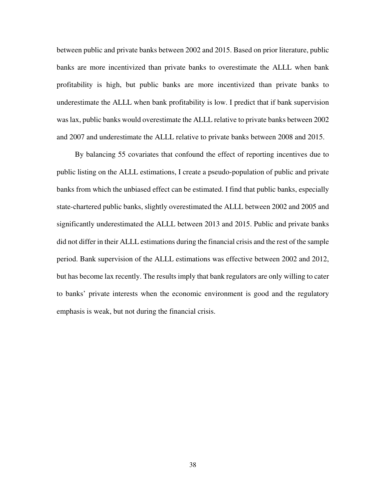between public and private banks between 2002 and 2015. Based on prior literature, public banks are more incentivized than private banks to overestimate the ALLL when bank profitability is high, but public banks are more incentivized than private banks to underestimate the ALLL when bank profitability is low. I predict that if bank supervision was lax, public banks would overestimate the ALLL relative to private banks between 2002 and 2007 and underestimate the ALLL relative to private banks between 2008 and 2015.

By balancing 55 covariates that confound the effect of reporting incentives due to public listing on the ALLL estimations, I create a pseudo-population of public and private banks from which the unbiased effect can be estimated. I find that public banks, especially state-chartered public banks, slightly overestimated the ALLL between 2002 and 2005 and significantly underestimated the ALLL between 2013 and 2015. Public and private banks did not differ in their ALLL estimations during the financial crisis and the rest of the sample period. Bank supervision of the ALLL estimations was effective between 2002 and 2012, but has become lax recently. The results imply that bank regulators are only willing to cater to banks' private interests when the economic environment is good and the regulatory emphasis is weak, but not during the financial crisis.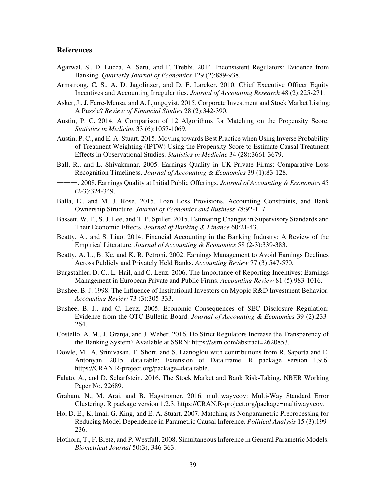#### **References**

- Agarwal, S., D. Lucca, A. Seru, and F. Trebbi. 2014. Inconsistent Regulators: Evidence from Banking. *Quarterly Journal of Economics* 129 (2):889-938.
- Armstrong, C. S., A. D. Jagolinzer, and D. F. Larcker. 2010. Chief Executive Officer Equity Incentives and Accounting Irregularities. *Journal of Accounting Research* 48 (2):225-271.
- Asker, J., J. Farre-Mensa, and A. Ljungqvist. 2015. Corporate Investment and Stock Market Listing: A Puzzle? *Review of Financial Studies* 28 (2):342-390.
- Austin, P. C. 2014. A Comparison of 12 Algorithms for Matching on the Propensity Score. *Statistics in Medicine* 33 (6):1057-1069.
- Austin, P. C., and E. A. Stuart. 2015. Moving towards Best Practice when Using Inverse Probability of Treatment Weighting (IPTW) Using the Propensity Score to Estimate Causal Treatment Effects in Observational Studies. *Statistics in Medicine* 34 (28):3661-3679.
- Ball, R., and L. Shivakumar. 2005. Earnings Quality in UK Private Firms: Comparative Loss Recognition Timeliness. *Journal of Accounting & Economics* 39 (1):83-128.
- ———. 2008. Earnings Quality at Initial Public Offerings. *Journal of Accounting & Economics* 45 (2-3):324-349.
- Balla, E., and M. J. Rose. 2015. Loan Loss Provisions, Accounting Constraints, and Bank Ownership Structure. *Journal of Economics and Business* 78:92-117.
- Bassett, W. F., S. J. Lee, and T. P. Spiller. 2015. Estimating Changes in Supervisory Standards and Their Economic Effects. *Journal of Banking & Finance* 60:21-43.
- Beatty, A., and S. Liao. 2014. Financial Accounting in the Banking Industry: A Review of the Empirical Literature. *Journal of Accounting & Economics* 58 (2-3):339-383.
- Beatty, A. L., B. Ke, and K. R. Petroni. 2002. Earnings Management to Avoid Earnings Declines Across Publicly and Privately Held Banks. *Accounting Review* 77 (3):547-570.
- Burgstahler, D. C., L. Hail, and C. Leuz. 2006. The Importance of Reporting Incentives: Earnings Management in European Private and Public Firms. *Accounting Review* 81 (5):983-1016.
- Bushee, B. J. 1998. The Influence of Institutional Investors on Myopic R&D Investment Behavior. *Accounting Review* 73 (3):305-333.
- Bushee, B. J., and C. Leuz. 2005. Economic Consequences of SEC Disclosure Regulation: Evidence from the OTC Bulletin Board. *Journal of Accounting & Economics* 39 (2):233- 264.
- Costello, A. M., J. Granja, and J. Weber. 2016. Do Strict Regulators Increase the Transparency of the Banking System? Available at SSRN: https://ssrn.com/abstract=2620853.
- Dowle, M., A. Srinivasan, T. Short, and S. Lianoglou with contributions from R. Saporta and E. Antonyan. 2015. data.table: Extension of Data.frame. R package version 1.9.6. https://CRAN.R-project.org/package=data.table.
- Falato, A., and D. Scharfstein. 2016. The Stock Market and Bank Risk-Taking. NBER Working Paper No. 22689.
- Graham, N., M. Arai, and B. Hagströmer. 2016. multiwayvcov: Multi-Way Standard Error Clustering. R package version 1.2.3. https://CRAN.R-project.org/package=multiwayvcov.
- Ho, D. E., K. Imai, G. King, and E. A. Stuart. 2007. Matching as Nonparametric Preprocessing for Reducing Model Dependence in Parametric Causal Inference. *Political Analysis* 15 (3):199- 236.
- Hothorn, T., F. Bretz, and P. Westfall. 2008. Simultaneous Inference in General Parametric Models. *Biometrical Journal* 50(3), 346-363.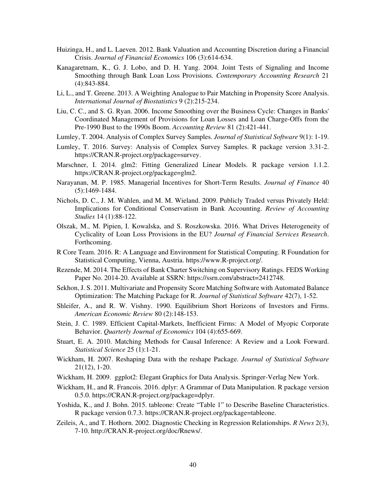- Huizinga, H., and L. Laeven. 2012. Bank Valuation and Accounting Discretion during a Financial Crisis. *Journal of Financial Economics* 106 (3):614-634.
- Kanagaretnam, K., G. J. Lobo, and D. H. Yang. 2004. Joint Tests of Signaling and Income Smoothing through Bank Loan Loss Provisions. *Contemporary Accounting Research* 21 (4):843-884.
- Li, L., and T. Greene. 2013. A Weighting Analogue to Pair Matching in Propensity Score Analysis. *International Journal of Biostatistics* 9 (2):215-234.
- Liu, C. C., and S. G. Ryan. 2006. Income Smoothing over the Business Cycle: Changes in Banks' Coordinated Management of Provisions for Loan Losses and Loan Charge-Offs from the Pre-1990 Bust to the 1990s Boom. *Accounting Review* 81 (2):421-441.
- Lumley, T. 2004. Analysis of Complex Survey Samples. *Journal of Statistical Software* 9(1): 1-19.
- Lumley, T. 2016. Survey: Analysis of Complex Survey Samples. R package version 3.31-2. https://CRAN.R-project.org/package=survey.
- Marschner, I. 2014. glm2: Fitting Generalized Linear Models. R package version 1.1.2. https://CRAN.R-project.org/package=glm2.
- Narayanan, M. P. 1985. Managerial Incentives for Short-Term Results. *Journal of Finance* 40 (5):1469-1484.
- Nichols, D. C., J. M. Wahlen, and M. M. Wieland. 2009. Publicly Traded versus Privately Held: Implications for Conditional Conservatism in Bank Accounting. *Review of Accounting Studies* 14 (1):88-122.
- Olszak, M., M. Pipien, I. Kowalska, and S. Roszkowska. 2016. What Drives Heterogeneity of Cyclicality of Loan Loss Provisions in the EU? *Journal of Financial Services Research*. Forthcoming.
- R Core Team. 2016. R: A Language and Environment for Statistical Computing. R Foundation for Statistical Computing, Vienna, Austria. https://www.R-project.org/.
- Rezende, M. 2014. The Effects of Bank Charter Switching on Supervisory Ratings. FEDS Working Paper No. 2014-20. Available at SSRN: https://ssrn.com/abstract=2412748.
- Sekhon, J. S. 2011. Multivariate and Propensity Score Matching Software with Automated Balance Optimization: The Matching Package for R. *Journal of Statistical Software* 42(7), 1-52.
- Shleifer, A., and R. W. Vishny. 1990. Equilibrium Short Horizons of Investors and Firms. *American Economic Review* 80 (2):148-153.
- Stein, J. C. 1989. Efficient Capital-Markets, Inefficient Firms: A Model of Myopic Corporate Behavior. *Quarterly Journal of Economics* 104 (4):655-669.
- Stuart, E. A. 2010. Matching Methods for Causal Inference: A Review and a Look Forward. *Statistical Science* 25 (1):1-21.
- Wickham, H. 2007. Reshaping Data with the reshape Package. *Journal of Statistical Software* 21(12), 1-20.
- Wickham, H. 2009. ggplot2: Elegant Graphics for Data Analysis. Springer-Verlag New York.
- Wickham, H., and R. Francois. 2016. dplyr: A Grammar of Data Manipulation. R package version 0.5.0. https://CRAN.R-project.org/package=dplyr.
- Yoshida, K., and J. Bohn. 2015. tableone: Create "Table 1" to Describe Baseline Characteristics. R package version 0.7.3. https://CRAN.R-project.org/package=tableone.
- Zeileis, A., and T. Hothorn. 2002. Diagnostic Checking in Regression Relationships. *R News* 2(3), 7-10. http://CRAN.R-project.org/doc/Rnews/.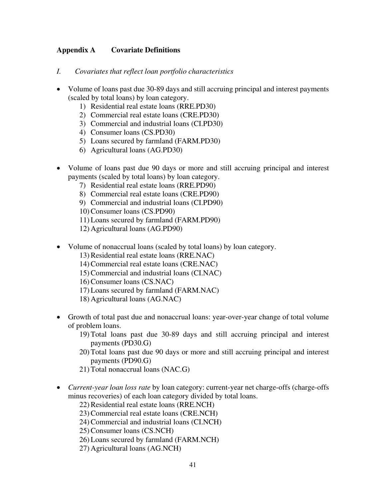# **Appendix A Covariate Definitions**

- *I. Covariates that reflect loan portfolio characteristics*
- Volume of loans past due 30-89 days and still accruing principal and interest payments (scaled by total loans) by loan category.
	- 1) Residential real estate loans (RRE.PD30)
	- 2) Commercial real estate loans (CRE.PD30)
	- 3) Commercial and industrial loans (CI.PD30)
	- 4) Consumer loans (CS.PD30)
	- 5) Loans secured by farmland (FARM.PD30)
	- 6) Agricultural loans (AG.PD30)
- Volume of loans past due 90 days or more and still accruing principal and interest payments (scaled by total loans) by loan category.
	- 7) Residential real estate loans (RRE.PD90)
	- 8) Commercial real estate loans (CRE.PD90)
	- 9) Commercial and industrial loans (CI.PD90)
	- 10) Consumer loans (CS.PD90)
	- 11) Loans secured by farmland (FARM.PD90)
	- 12) Agricultural loans (AG.PD90)
- Volume of nonaccrual loans (scaled by total loans) by loan category.
	- 13) Residential real estate loans (RRE.NAC)
	- 14) Commercial real estate loans (CRE.NAC)
	- 15) Commercial and industrial loans (CI.NAC)
	- 16) Consumer loans (CS.NAC)
	- 17) Loans secured by farmland (FARM.NAC)
	- 18) Agricultural loans (AG.NAC)
- Growth of total past due and nonaccrual loans: year-over-year change of total volume of problem loans.
	- 19) Total loans past due 30-89 days and still accruing principal and interest payments (PD30.G)
	- 20) Total loans past due 90 days or more and still accruing principal and interest payments (PD90.G)
	- 21) Total nonaccrual loans (NAC.G)
- *Current-year loan loss rate* by loan category: current-year net charge-offs (charge-offs minus recoveries) of each loan category divided by total loans.

22) Residential real estate loans (RRE.NCH)

- 23) Commercial real estate loans (CRE.NCH)
- 24) Commercial and industrial loans (CI.NCH)
- 25) Consumer loans (CS.NCH)
- 26) Loans secured by farmland (FARM.NCH)
- 27) Agricultural loans (AG.NCH)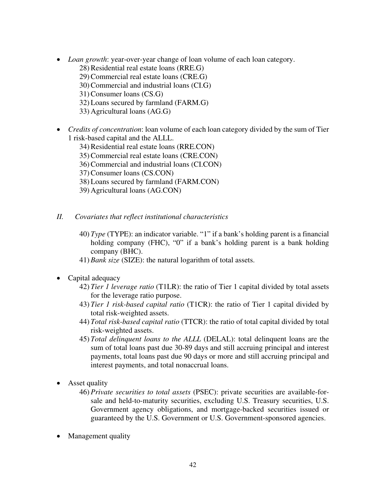- *Loan growth*: year-over-year change of loan volume of each loan category.
	- 28) Residential real estate loans (RRE.G)
	- 29) Commercial real estate loans (CRE.G)
	- 30) Commercial and industrial loans (CI.G)
	- 31) Consumer loans (CS.G)
	- 32) Loans secured by farmland (FARM.G)
	- 33) Agricultural loans (AG.G)
- *Credits of concentration*: loan volume of each loan category divided by the sum of Tier 1 risk-based capital and the ALLL.
	- 34) Residential real estate loans (RRE.CON)
	- 35) Commercial real estate loans (CRE.CON)
	- 36) Commercial and industrial loans (CI.CON)
	- 37) Consumer loans (CS.CON)
	- 38) Loans secured by farmland (FARM.CON)
	- 39) Agricultural loans (AG.CON)
- *II. Covariates that reflect institutional characteristics*
	- 40) *Type* (TYPE): an indicator variable. "1" if a bank's holding parent is a financial holding company (FHC), "0" if a bank's holding parent is a bank holding company (BHC).
	- 41) *Bank size* (SIZE): the natural logarithm of total assets.
- Capital adequacy
	- 42) *Tier 1 leverage ratio* (T1LR): the ratio of Tier 1 capital divided by total assets for the leverage ratio purpose.
	- 43) *Tier 1 risk-based capital ratio* (T1CR): the ratio of Tier 1 capital divided by total risk-weighted assets.
	- 44) *Total risk-based capital ratio* (TTCR): the ratio of total capital divided by total risk-weighted assets.
	- 45) *Total delinquent loans to the ALLL* (DELAL): total delinquent loans are the sum of total loans past due 30-89 days and still accruing principal and interest payments, total loans past due 90 days or more and still accruing principal and interest payments, and total nonaccrual loans.
- Asset quality
	- 46) *Private securities to total assets* (PSEC): private securities are available-forsale and held-to-maturity securities, excluding U.S. Treasury securities, U.S. Government agency obligations, and mortgage-backed securities issued or guaranteed by the U.S. Government or U.S. Government-sponsored agencies.
- Management quality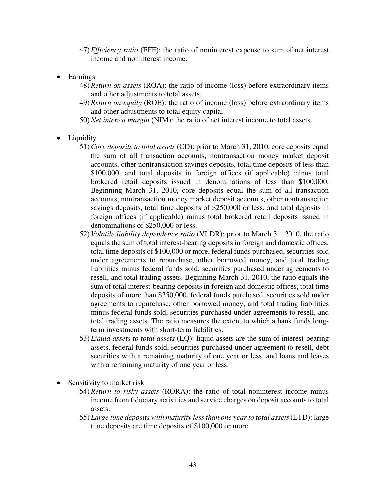- 47) *Efficiency ratio* (EFF): the ratio of noninterest expense to sum of net interest income and noninterest income.
- Earnings
	- 48) *Return on assets* (ROA): the ratio of income (loss) before extraordinary items and other adjustments to total assets.
	- 49) *Return on equity* (ROE): the ratio of income (loss) before extraordinary items and other adjustments to total equity capital.
	- 50) *Net interest margin* (NIM): the ratio of net interest income to total assets.
- Liquidity
	- 51) *Core deposits to total assets* (CD): prior to March 31, 2010, core deposits equal the sum of all transaction accounts, nontransaction money market deposit accounts, other nontransaction savings deposits, total time deposits of less than \$100,000, and total deposits in foreign offices (if applicable) minus total brokered retail deposits issued in denominations of less than \$100,000. Beginning March 31, 2010, core deposits equal the sum of all transaction accounts, nontransaction money market deposit accounts, other nontransaction savings deposits, total time deposits of \$250,000 or less, and total deposits in foreign offices (if applicable) minus total brokered retail deposits issued in denominations of \$250,000 or less.
	- 52) *Volatile liability dependence ratio* (VLDR): prior to March 31, 2010, the ratio equals the sum of total interest-bearing deposits in foreign and domestic offices, total time deposits of \$100,000 or more, federal funds purchased, securities sold under agreements to repurchase, other borrowed money, and total trading liabilities minus federal funds sold, securities purchased under agreements to resell, and total trading assets. Beginning March 31, 2010, the ratio equals the sum of total interest-bearing deposits in foreign and domestic offices, total time deposits of more than \$250,000, federal funds purchased, securities sold under agreements to repurchase, other borrowed money, and total trading liabilities minus federal funds sold, securities purchased under agreements to resell, and total trading assets. The ratio measures the extent to which a bank funds longterm investments with short-term liabilities.
	- 53) *Liquid assets to total assets* (LQ): liquid assets are the sum of interest-bearing assets, federal funds sold, securities purchased under agreement to resell, debt securities with a remaining maturity of one year or less, and loans and leases with a remaining maturity of one year or less.
- Sensitivity to market risk
	- 54) *Return to risky assets* (RORA): the ratio of total noninterest income minus income from fiduciary activities and service charges on deposit accounts to total assets.
	- 55) *Large time deposits with maturity less than one year to total assets* (LTD): large time deposits are time deposits of \$100,000 or more.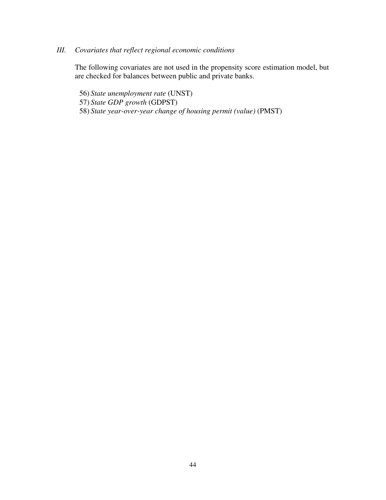# *III. Covariates that reflect regional economic conditions*

The following covariates are not used in the propensity score estimation model, but are checked for balances between public and private banks.

56) *State unemployment rate* (UNST) 57) *State GDP growth* (GDPST) 58) *State year-over-year change of housing permit (value)* (PMST)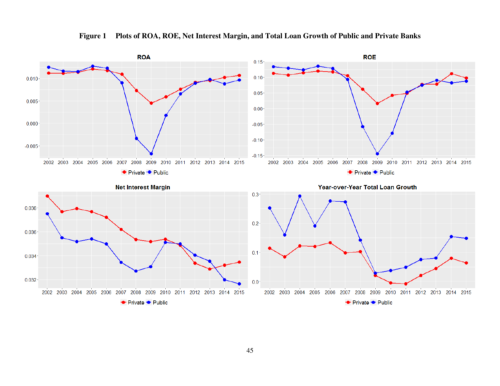

**Figure 1 Plots of ROA, ROE, Net Interest Margin, and Total Loan Growth of Public and Private Banks**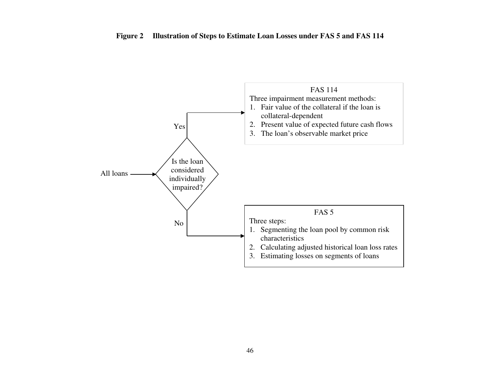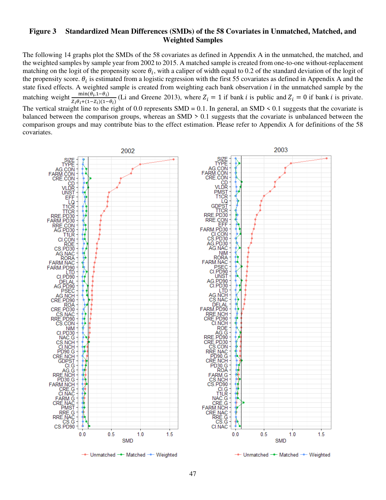## **Figure 3 Standardized Mean Differences (SMDs) of the 58 Covariates in Unmatched, Matched, and Weighted Samples**

The following 14 graphs plot the SMDs of the 58 covariates as defined in Appendix A in the unmatched, the matched, and the weighted samples by sample year from 2002 to 2015. A matched sample is created from one-to-one without-replacement matching on the logit of the propensity score  $\theta_i$ , with a caliper of width equal to 0.2 of the standard deviation of the logit of the propensity score.  $\theta_i$  is estimated from a logistic regression with the first 55 covariates as defined in Appendix A and the state fixed effects. A weighted sample is created from weighting each bank observation  $i$  in the unmatched sample by the matching weight  $\frac{\min(\theta_i, 1-\theta_i)}{7.0+(1-7.1)4}$  $\frac{\text{min}(v_i, 1-v_i)}{z_i \theta_i + (1-z_i)(1-\theta_i)}$  (Li and Greene 2013), where  $Z_i = 1$  if bank *i* is public and  $Z_i = 0$  if bank *i* is private. The vertical straight line to the right of 0.0 represents  $SMD = 0.1$ . In general, an  $SMD \le 0.1$  suggests that the covariate is balanced between the comparison groups, whereas an SMD > 0.1 suggests that the covariate is unbalanced between the comparison groups and may contribute bias to the effect estimation. Please refer to Appendix A for definitions of the 58 covariates.

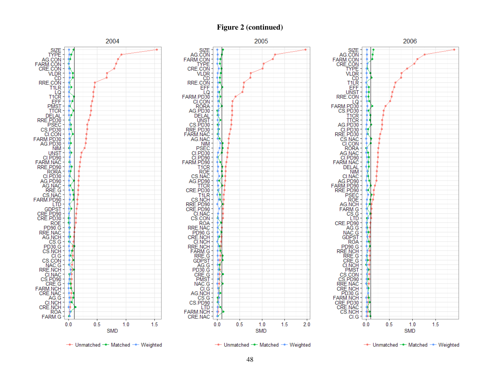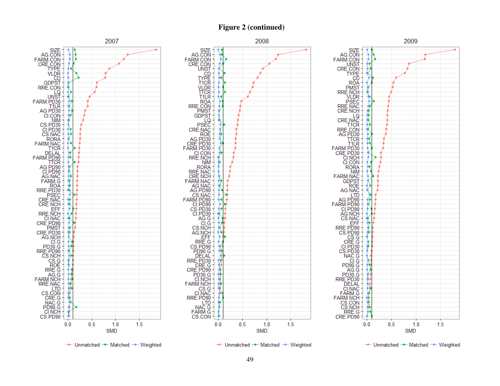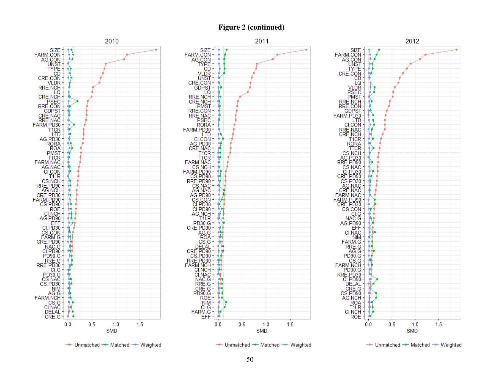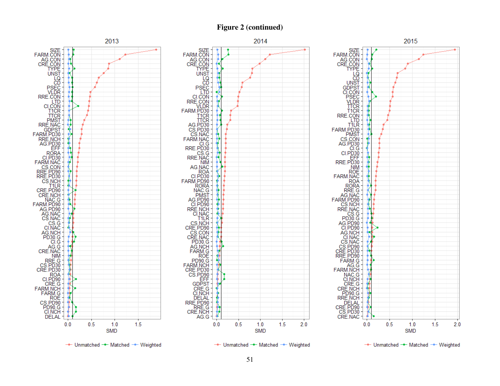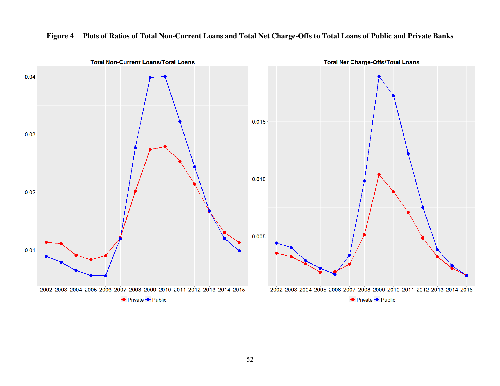

# **Figure 4 Plots of Ratios of Total Non-Current Loans and Total Net Charge-Offs to Total Loans of Public and Private Banks**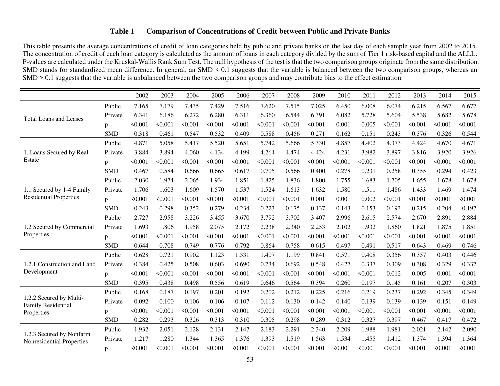# **Table 1 Comparison of Concentrations of Credit between Public and Private Banks**

This table presents the average concentrations of credit of loan categories held by public and private banks on the last day of each sample year from 2002 to 2015. The concentration of credit of each loan category is calculated as the amount of loans in each category divided by the sum of Tier 1 risk-based capital and the ALLL. P-values are calculated under the Kruskal-Wallis Rank Sum Test. The null hypothesis of the test is that the two comparison groups originate from the same distribution. SMD stands for standardized mean difference. In general, an SMD < 0.1 suggests that the variable is balanced between the two comparison groups, whereas an SMD > 0.1 suggests that the variable is unbalanced between the two comparison groups and may contribute bias to the effect estimation.

|                                                      |            | 2002    | 2003    | 2004    | 2005    | 2006    | 2007    | 2008    | 2009    | 2010    | 2011    | 2012    | 2013    | 2014    | 2015    |
|------------------------------------------------------|------------|---------|---------|---------|---------|---------|---------|---------|---------|---------|---------|---------|---------|---------|---------|
|                                                      | Public     | 7.165   | 7.179   | 7.435   | 7.429   | 7.516   | 7.620   | 7.515   | 7.025   | 6.450   | 6.008   | 6.074   | 6.215   | 6.567   | 6.677   |
| <b>Total Loans and Leases</b>                        | Private    | 6.341   | 6.186   | 6.272   | 6.280   | 6.311   | 6.360   | 6.544   | 6.391   | 6.082   | 5.728   | 5.604   | 5.538   | 5.682   | 5.678   |
|                                                      | p          | < 0.001 | < 0.001 | < 0.001 | 50.001  | < 0.001 | < 0.001 | < 0.001 | < 0.001 | 0.001   | 0.005   | < 0.001 | < 0.001 | < 0.001 | < 0.001 |
|                                                      | <b>SMD</b> | 0.318   | 0.461   | 0.547   | 0.532   | 0.409   | 0.588   | 0.456   | 0.271   | 0.162   | 0.151   | 0.243   | 0.376   | 0.326   | 0.544   |
|                                                      | Public     | 4.871   | 5.058   | 5.417   | 5.520   | 5.651   | 5.742   | 5.666   | 5.330   | 4.857   | 4.402   | 4.373   | 4.424   | 4.670   | 4.671   |
| 1. Loans Secured by Real                             | Private    | 3.884   | 3.894   | 4.060   | 4.134   | 4.199   | 4.264   | 4.474   | 4.424   | 4.231   | 3.982   | 3.897   | 3.816   | 3.920   | 3.926   |
| Estate                                               | p          | < 0.001 | < 0.001 | < 0.001 | 50.001  | < 0.001 | < 0.001 | < 0.001 | < 0.001 | < 0.001 | < 0.001 | < 0.001 | < 0.001 | < 0.001 | < 0.001 |
|                                                      | <b>SMD</b> | 0.467   | 0.584   | 0.666   | 0.665   | 0.617   | 0.705   | 0.566   | 0.400   | 0.278   | 0.231   | 0.258   | 0.355   | 0.294   | 0.423   |
|                                                      | Public     | 2.030   | 1.974   | 2.065   | 1.934   | 1.851   | 1.825   | 1.836   | 1.800   | 1.755   | 1.683   | 1.705   | 1.655   | 1.678   | 1.678   |
| 1.1 Secured by 1-4 Family                            | Private    | 1.706   | 1.603   | 1.609   | 1.570   | 1.537   | 1.524   | 1.613   | 1.632   | 1.580   | 1.511   | 1.486   | 1.433   | 1.469   | 1.474   |
| <b>Residential Properties</b>                        | p          | < 0.001 | < 0.001 | < 0.001 | < 0.001 | < 0.001 | < 0.001 | < 0.001 | 0.001   | 0.001   | 0.002   | < 0.001 | < 0.001 | < 0.001 | < 0.001 |
|                                                      | <b>SMD</b> | 0.243   | 0.298   | 0.352   | 0.279   | 0.234   | 0.223   | 0.175   | 0.137   | 0.143   | 0.153   | 0.193   | 0.215   | 0.204   | 0.197   |
|                                                      | Public     | 2.727   | 2.958   | 3.226   | 3.455   | 3.670   | 3.792   | 3.702   | 3.407   | 2.996   | 2.615   | 2.574   | 2.670   | 2.891   | 2.884   |
| 1.2 Secured by Commercial                            | Private    | 1.693   | 1.806   | 1.958   | 2.075   | 2.172   | 2.238   | 2.340   | 2.253   | 2.102   | 1.932   | 1.860   | 1.821   | 1.875   | 1.851   |
| Properties                                           | p          | < 0.001 | < 0.001 | < 0.001 | < 0.001 | < 0.001 | < 0.001 | < 0.001 | < 0.001 | < 0.001 | < 0.001 | < 0.001 | < 0.001 | < 0.001 | < 0.001 |
|                                                      | <b>SMD</b> | 0.644   | 0.708   | 0.749   | 0.776   | 0.792   | 0.864   | 0.758   | 0.615   | 0.497   | 0.491   | 0.517   | 0.643   | 0.469   | 0.746   |
|                                                      | Public     | 0.628   | 0.721   | 0.902   | 1.123   | 1.331   | 1.407   | 1.199   | 0.841   | 0.571   | 0.408   | 0.356   | 0.357   | 0.403   | 0.446   |
| 1.2.1 Construction and Land                          | Private    | 0.384   | 0.425   | 0.508   | 0.603   | 0.690   | 0.734   | 0.692   | 0.548   | 0.427   | 0.337   | 0.309   | 0.308   | 0.329   | 0.337   |
| Development                                          | p          | < 0.001 | < 0.001 | < 0.001 | < 0.001 | < 0.001 | < 0.001 | < 0.001 | < 0.001 | < 0.001 | < 0.001 | 0.012   | 0.005   | 0.001   | < 0.001 |
|                                                      | <b>SMD</b> | 0.395   | 0.438   | 0.498   | 0.556   | 0.619   | 0.646   | 0.564   | 0.394   | 0.260   | 0.197   | 0.145   | 0.161   | 0.207   | 0.303   |
|                                                      | Public     | 0.168   | 0.187   | 0.197   | 0.201   | 0.192   | 0.202   | 0.212   | 0.225   | 0.216   | 0.219   | 0.237   | 0.292   | 0.345   | 0.349   |
| 1.2.2 Secured by Multi-<br><b>Family Residential</b> | Private    | 0.092   | 0.100   | 0.106   | 0.106   | 0.107   | 0.112   | 0.130   | 0.142   | 0.140   | 0.139   | 0.139   | 0.139   | 0.151   | 0.149   |
| Properties                                           | p          | < 0.001 | < 0.001 | < 0.001 | < 0.001 | < 0.001 | < 0.001 | < 0.001 | < 0.001 | < 0.001 | < 0.001 | < 0.001 | < 0.001 | < 0.001 | < 0.001 |
|                                                      | <b>SMD</b> | 0.282   | 0.293   | 0.326   | 0.313   | 0.310   | 0.305   | 0.298   | 0.289   | 0.312   | 0.327   | 0.397   | 0.467   | 0.417   | 0.472   |
| 1.2.3 Secured by Nonfarm                             | Public     | 1.932   | 2.051   | 2.128   | 2.131   | 2.147   | 2.183   | 2.291   | 2.340   | 2.209   | 1.988   | 1.981   | 2.021   | 2.142   | 2.090   |
| Nonresidential Properties                            | Private    | 1.217   | 1.280   | 1.344   | 1.365   | 1.376   | 1.393   | 1.519   | 1.563   | 1.534   | 1.455   | 1.412   | 1.374   | 1.394   | 1.364   |
|                                                      | p          | < 0.001 | < 0.001 | < 0.001 | < 0.001 | < 0.001 | < 0.001 | < 0.001 | < 0.001 | < 0.001 | < 0.001 | < 0.001 | < 0.001 | < 0.001 | < 0.001 |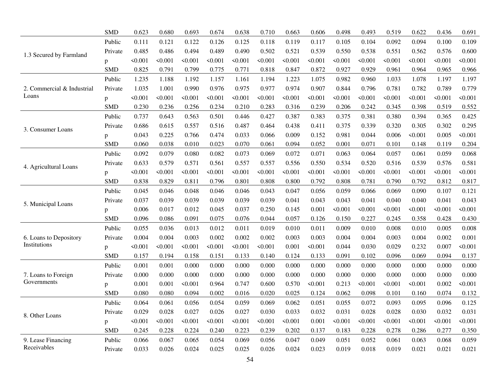|                            | <b>SMD</b>   | 0.623   | 0.680   | 0.693        | 0.674   | 0.638   | 0.710   | 0.663   | 0.606   | 0.498   | 0.493   | 0.519   | 0.622   | 0.436   | 0.691   |
|----------------------------|--------------|---------|---------|--------------|---------|---------|---------|---------|---------|---------|---------|---------|---------|---------|---------|
|                            | Public       | 0.111   | 0.121   | 0.122        | 0.126   | 0.125   | 0.118   | 0.119   | 0.117   | 0.105   | 0.104   | 0.092   | 0.094   | 0.100   | 0.109   |
| 1.3 Secured by Farmland    | Private      | 0.485   | 0.486   | 0.494        | 0.489   | 0.490   | 0.502   | 0.521   | 0.539   | 0.550   | 0.538   | 0.551   | 0.562   | 0.576   | 0.600   |
|                            | p            | < 0.001 | < 0.001 | $\leq 0.001$ | < 0.001 | < 0.001 | < 0.001 | < 0.001 | < 0.001 | < 0.001 | < 0.001 | < 0.001 | < 0.001 | < 0.001 | < 0.001 |
|                            | <b>SMD</b>   | 0.825   | 0.791   | 0.799        | 0.775   | 0.771   | 0.818   | 0.847   | 0.872   | 0.927   | 0.929   | 0.961   | 0.964   | 0.965   | 0.966   |
|                            | Public       | 1.235   | 1.188   | 1.192        | 1.157   | 1.161   | 1.194   | 1.223   | 1.075   | 0.982   | 0.960   | 1.033   | 1.078   | 1.197   | 1.197   |
| 2. Commercial & Industrial | Private      | 1.035   | 1.001   | 0.990        | 0.976   | 0.975   | 0.977   | 0.974   | 0.907   | 0.844   | 0.796   | 0.781   | 0.782   | 0.789   | 0.779   |
| Loans                      | $\mathbf{p}$ | < 0.001 | < 0.001 | < 0.001      | < 0.001 | < 0.001 | < 0.001 | < 0.001 | < 0.001 | <0.001  | < 0.001 | < 0.001 | < 0.001 | < 0.001 | < 0.001 |
|                            | <b>SMD</b>   | 0.230   | 0.236   | 0.256        | 0.234   | 0.210   | 0.283   | 0.316   | 0.239   | 0.206   | 0.242   | 0.345   | 0.398   | 0.519   | 0.552   |
|                            | Public       | 0.737   | 0.643   | 0.563        | 0.501   | 0.446   | 0.427   | 0.387   | 0.383   | 0.375   | 0.381   | 0.380   | 0.394   | 0.365   | 0.425   |
| 3. Consumer Loans          | Private      | 0.686   | 0.615   | 0.557        | 0.516   | 0.487   | 0.464   | 0.438   | 0.411   | 0.375   | 0.339   | 0.320   | 0.305   | 0.302   | 0.295   |
|                            | p            | 0.043   | 0.225   | 0.766        | 0.474   | 0.033   | 0.066   | 0.009   | 0.152   | 0.981   | 0.044   | 0.006   | < 0.001 | 0.005   | < 0.001 |
|                            | <b>SMD</b>   | 0.060   | 0.038   | 0.010        | 0.023   | 0.070   | 0.061   | 0.094   | 0.052   | 0.001   | 0.071   | 0.101   | 0.148   | 0.119   | 0.204   |
|                            | Public       | 0.092   | 0.079   | 0.080        | 0.082   | 0.073   | 0.069   | 0.072   | 0.071   | 0.063   | 0.064   | 0.057   | 0.061   | 0.059   | 0.068   |
| 4. Agricultural Loans      | Private      | 0.633   | 0.579   | 0.571        | 0.561   | 0.557   | 0.557   | 0.556   | 0.550   | 0.534   | 0.520   | 0.516   | 0.539   | 0.576   | 0.581   |
|                            | p            | < 0.001 | < 0.001 | < 0.001      | < 0.001 | < 0.001 | < 0.001 | < 0.001 | < 0.001 | < 0.001 | < 0.001 | < 0.001 | < 0.001 | < 0.001 | 50.001  |
|                            | <b>SMD</b>   | 0.838   | 0.829   | 0.811        | 0.796   | 0.801   | 0.808   | 0.800   | 0.792   | 0.808   | 0.781   | 0.790   | 0.792   | 0.812   | 0.817   |
|                            | Public       | 0.045   | 0.046   | 0.048        | 0.046   | 0.046   | 0.043   | 0.047   | 0.056   | 0.059   | 0.066   | 0.069   | 0.090   | 0.107   | 0.121   |
| 5. Municipal Loans         | Private      | 0.037   | 0.039   | 0.039        | 0.039   | 0.039   | 0.039   | 0.041   | 0.043   | 0.043   | 0.041   | 0.040   | 0.040   | 0.041   | 0.043   |
|                            | p            | 0.006   | 0.017   | 0.012        | 0.045   | 0.037   | 0.250   | 0.145   | 0.001   | < 0.001 | < 0.001 | < 0.001 | < 0.001 | < 0.001 | < 0.001 |
|                            | <b>SMD</b>   | 0.096   | 0.086   | 0.091        | 0.075   | 0.076   | 0.044   | 0.057   | 0.126   | 0.150   | 0.227   | 0.245   | 0.358   | 0.428   | 0.430   |
|                            | Public       | 0.055   | 0.036   | 0.013        | 0.012   | 0.011   | 0.019   | 0.010   | 0.011   | 0.009   | 0.010   | 0.008   | 0.010   | 0.005   | 0.008   |
| 6. Loans to Depository     | Private      | 0.004   | 0.004   | 0.003        | 0.002   | 0.002   | 0.002   | 0.003   | 0.003   | 0.004   | 0.004   | 0.003   | 0.004   | 0.002   | 0.001   |
| Institutions               | p            | < 0.001 | < 0.001 | < 0.001      | < 0.001 | < 0.001 | < 0.001 | 0.001   | < 0.001 | 0.044   | 0.030   | 0.029   | 0.232   | 0.007   | 50.001  |
|                            | <b>SMD</b>   | 0.157   | 0.194   | 0.158        | 0.151   | 0.133   | 0.140   | 0.124   | 0.133   | 0.091   | 0.102   | 0.096   | 0.069   | 0.094   | 0.137   |
|                            | Public       | 0.001   | 0.001   | 0.000        | 0.000   | 0.000   | 0.000   | 0.000   | 0.000   | 0.000   | 0.000   | 0.000   | 0.000   | 0.000   | 0.000   |
| 7. Loans to Foreign        | Private      | 0.000   | 0.000   | 0.000        | 0.000   | 0.000   | 0.000   | 0.000   | 0.000   | 0.000   | 0.000   | 0.000   | 0.000   | 0.000   | 0.000   |
| Governments                | p            | 0.001   | 0.001   | < 0.001      | 0.964   | 0.747   | 0.600   | 0.570   | < 0.001 | 0.213   | < 0.001 | < 0.001 | < 0.001 | 0.002   | < 0.001 |
|                            | <b>SMD</b>   | 0.080   | 0.080   | 0.094        | 0.002   | 0.016   | 0.020   | 0.025   | 0.124   | 0.062   | 0.098   | 0.101   | 0.160   | 0.074   | 0.132   |
|                            | Public       | 0.064   | 0.061   | 0.056        | 0.054   | 0.059   | 0.069   | 0.062   | 0.051   | 0.055   | 0.072   | 0.093   | 0.095   | 0.096   | 0.125   |
| 8. Other Loans             | Private      | 0.029   | 0.028   | 0.027        | 0.026   | 0.027   | 0.030   | 0.033   | 0.032   | 0.031   | 0.028   | 0.028   | 0.030   | 0.032   | 0.031   |
|                            | p            | < 0.001 | < 0.001 | < 0.001      | < 0.001 | < 0.001 | < 0.001 | < 0.001 | 0.001   | <0.001  | < 0.001 | < 0.001 | < 0.001 | < 0.001 | < 0.001 |
|                            | <b>SMD</b>   | 0.245   | 0.228   | 0.224        | 0.240   | 0.223   | 0.239   | 0.202   | 0.137   | 0.183   | 0.228   | 0.278   | 0.286   | 0.277   | 0.350   |
| 9. Lease Financing         | Public       | 0.066   | 0.067   | 0.065        | 0.054   | 0.069   | 0.056   | 0.047   | 0.049   | 0.051   | 0.052   | 0.061   | 0.063   | 0.068   | 0.059   |
| Receivables                | Private      | 0.033   | 0.026   | 0.024        | 0.025   | 0.025   | 0.026   | 0.024   | 0.023   | 0.019   | 0.018   | 0.019   | 0.021   | 0.021   | 0.021   |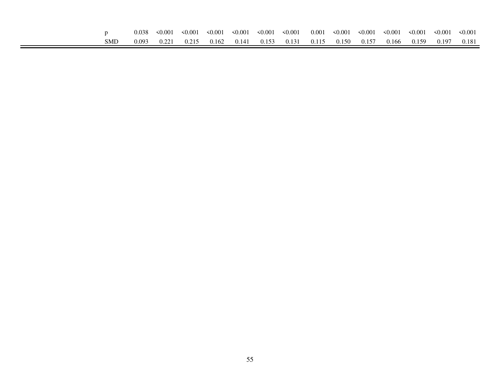|     | 0.038 | $\leq 0.001$ | $\leq 0.001$ | $\leq 0.001$ | $\leq 0.001$ | $\leq 0.001$ | $\leq 0.001$                    | 0.001 | $\leq 0.001$    | $\leq 0.001$ | $\leq 0.001$ | $\leq 0.001$ | $\leq 0.001$ | $\leq 0.001$ |
|-----|-------|--------------|--------------|--------------|--------------|--------------|---------------------------------|-------|-----------------|--------------|--------------|--------------|--------------|--------------|
| SMD | 0.093 | 0.221        | 0.215        | 0.162        |              |              | $0.141$ $0.153$ $0.131$ $0.115$ |       | $0.150$ $0.157$ |              | 0.166        | 0.159        | 0.197        | 0.181        |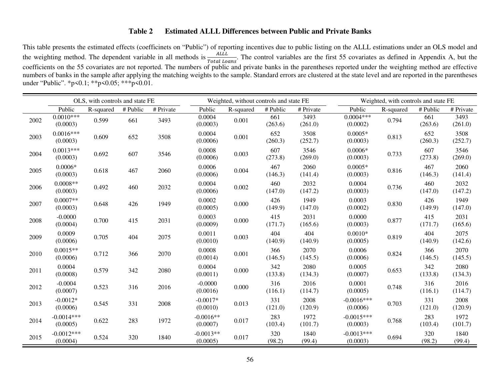# **Table 2 Estimated ALLL Differences between Public and Private Banks**

This table presents the estimated effects (coefficinets on "Public") of reporting incentives due to public listing on the ALLL estimations under an OLS model and the weighting method. The dependent variable in all methods is  $\frac{ALL}{Total\ loans}$ . The control variables are the first 55 covariates as defined in Appendix A, but the coefficients on the 55 covariates are not reported. The numbers of public and private banks in the parentheses reported under the weighting method are effective numbers of banks in the sample after applying the matching weights to the sample. Standard errors are clustered at the state level and are reported in the parentheses under "Public". \*p<0.1; \*\*p<0.05; \*\*\*p<0.01.

|      |                          | OLS, with controls and state FE |          |           |                         | Weighted, without controls and state FE |                |                 |                          | Weighted, with controls and state FE |                |                 |
|------|--------------------------|---------------------------------|----------|-----------|-------------------------|-----------------------------------------|----------------|-----------------|--------------------------|--------------------------------------|----------------|-----------------|
|      | Public                   | R-squared                       | # Public | # Private | Public                  | R-squared                               | # Public       | # Private       | Public                   | R-squared                            | # Public       | # Private       |
| 2002 | $0.0010***$<br>(0.0003)  | 0.599                           | 661      | 3493      | 0.0004<br>(0.0003)      | 0.001                                   | 661<br>(263.6) | 3493<br>(261.0) | $0.0004***$<br>(0.0002)  | 0.794                                | 661<br>(263.6) | 3493<br>(261.0) |
| 2003 | $0.0016***$<br>(0.0003)  | 0.609                           | 652      | 3508      | 0.0004<br>(0.0006)      | 0.001                                   | 652<br>(260.3) | 3508<br>(252.7) | $0.0005*$<br>(0.0003)    | 0.813                                | 652<br>(260.3) | 3508<br>(252.7) |
| 2004 | $0.0013***$<br>(0.0003)  | 0.692                           | 607      | 3546      | 0.0008<br>(0.0006)      | 0.003                                   | 607<br>(273.8) | 3546<br>(269.0) | $0.0006*$<br>(0.0003)    | 0.733                                | 607<br>(273.8) | 3546<br>(269.0) |
| 2005 | $0.0006*$<br>(0.0003)    | 0.618                           | 467      | 2060      | 0.0006<br>(0.0006)      | 0.004                                   | 467<br>(146.3) | 2060<br>(141.4) | $0.0005*$<br>(0.0003)    | 0.816                                | 467<br>(146.3) | 2060<br>(141.4) |
| 2006 | $0.0008**$<br>(0.0003)   | 0.492                           | 460      | 2032      | 0.0004<br>(0.0006)      | 0.002                                   | 460<br>(147.0) | 2032<br>(147.2) | 0.0004<br>(0.0003)       | 0.736                                | 460<br>(147.0) | 2032<br>(147.2) |
| 2007 | $0.0007**$<br>(0.0003)   | 0.648                           | 426      | 1949      | 0.0002<br>(0.0005)      | 0.000                                   | 426<br>(149.9) | 1949<br>(147.0) | 0.0003<br>(0.0002)       | 0.830                                | 426<br>(149.9) | 1949<br>(147.0) |
| 2008 | $-0.0000$<br>(0.0004)    | 0.700                           | 415      | 2031      | 0.0003<br>(0.0009)      | 0.000                                   | 415<br>(171.7) | 2031<br>(165.6) | 0.0000<br>(0.0003)       | 0.877                                | 415<br>(171.7) | 2031<br>(165.6) |
| 2009 | 0.0009<br>(0.0006)       | 0.705                           | 404      | 2075      | 0.0011<br>(0.0010)      | 0.003                                   | 404<br>(140.9) | 404<br>(140.9)  | $0.0010*$<br>(0.0005)    | 0.819                                | 404<br>(140.9) | 2075<br>(142.6) |
| 2010 | $0.0015**$<br>(0.0006)   | 0.712                           | 366      | 2070      | 0.0008<br>(0.0014)      | 0.001                                   | 366<br>(146.5) | 2070<br>(145.5) | 0.0006<br>(0.0006)       | 0.824                                | 366<br>(146.5) | 2070<br>(145.5) |
| 2011 | 0.0004<br>(0.0008)       | 0.579                           | 342      | 2080      | 0.0004<br>(0.0011)      | 0.000                                   | 342<br>(133.8) | 2080<br>(134.3) | 0.0005<br>(0.0007)       | 0.653                                | 342<br>(133.8) | 2080<br>(134.3) |
| 2012 | $-0.0004$<br>(0.0007)    | 0.523                           | 316      | 2016      | $-0.0000$<br>(0.0016)   | 0.000                                   | 316<br>(116.1) | 2016<br>(114.7) | 0.0001<br>(0.0005)       | 0.748                                | 316<br>(116.1) | 2016<br>(114.7) |
| 2013 | $-0.0012*$<br>(0.0006)   | 0.545                           | 331      | 2008      | $-0.0017*$<br>(0.0010)  | 0.013                                   | 331<br>(121.0) | 2008<br>(120.9) | $-0.0016***$<br>(0.0006) | 0.703                                | 331<br>(121.0) | 2008<br>(120.9) |
| 2014 | $-0.0014***$<br>(0.0005) | 0.622                           | 283      | 1972      | $-0.0016**$<br>(0.0007) | 0.017                                   | 283<br>(103.4) | 1972<br>(101.7) | $-0.0015***$<br>(0.0003) | 0.768                                | 283<br>(103.4) | 1972<br>(101.7) |
| 2015 | $-0.0012***$<br>(0.0004) | 0.524                           | 320      | 1840      | $-0.0013**$<br>(0.0005) | 0.017                                   | 320<br>(98.2)  | 1840<br>(99.4)  | $-0.0013***$<br>(0.0003) | 0.694                                | 320<br>(98.2)  | 1840<br>(99.4)  |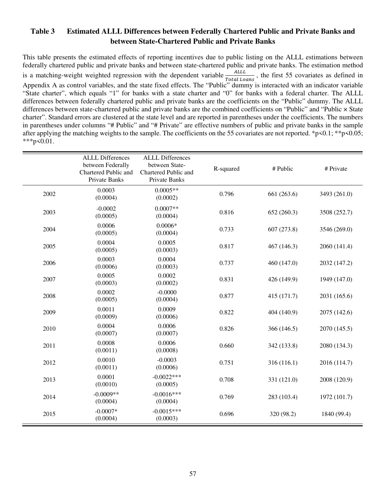# **Table 3 Estimated ALLL Differences between Federally Chartered Public and Private Banks and between State-Chartered Public and Private Banks**

This table presents the estimated effects of reporting incentives due to public listing on the ALLL estimations between federally chartered public and private banks and between state-chartered public and private banks. The estimation method is a matching-weight weighted regression with the dependent variable  $\frac{ALL}{Total\$ Appendix A as control variables, and the state fixed effects. The "Public" dummy is interacted with an indicator variable "State charter", which equals "1" for banks with a state charter and "0" for banks with a federal charter. The ALLL differences between federally chartered public and private banks are the coefficients on the "Public" dummy. The ALLL differences between state-chartered public and private banks are the combined coefficients on "Public" and "Public × State charter". Standard errors are clustered at the state level and are reported in parentheses under the coefficients. The numbers in parentheses under columns "# Public" and "# Private" are effective numbers of public and private banks in the sample after applying the matching weights to the sample. The coefficients on the 55 covariates are not reported. \*p<0.1; \*\*p<0.05;  $***p<0.01$ .

|      | <b>ALLL Differences</b><br>between Federally<br>Chartered Public and<br>Private Banks | <b>ALLL Differences</b><br>between State-<br>Chartered Public and<br>Private Banks | R-squared | # Public    | # Private    |
|------|---------------------------------------------------------------------------------------|------------------------------------------------------------------------------------|-----------|-------------|--------------|
| 2002 | 0.0003<br>(0.0004)                                                                    | $0.0005**$<br>(0.0002)                                                             | 0.796     | 661 (263.6) | 3493 (261.0) |
| 2003 | $-0.0002$<br>(0.0005)                                                                 | $0.0007**$<br>(0.0004)                                                             | 0.816     | 652(260.3)  | 3508 (252.7) |
| 2004 | 0.0006<br>(0.0005)                                                                    | $0.0006*$<br>(0.0004)                                                              | 0.733     | 607 (273.8) | 3546 (269.0) |
| 2005 | 0.0004<br>(0.0005)                                                                    | 0.0005<br>(0.0003)                                                                 | 0.817     | 467 (146.3) | 2060 (141.4) |
| 2006 | 0.0003<br>(0.0006)                                                                    | 0.0004<br>(0.0003)                                                                 | 0.737     | 460 (147.0) | 2032 (147.2) |
| 2007 | 0.0005<br>(0.0003)                                                                    | 0.0002<br>(0.0002)                                                                 | 0.831     | 426 (149.9) | 1949 (147.0) |
| 2008 | 0.0002<br>(0.0005)                                                                    | $-0.0000$<br>(0.0004)                                                              | 0.877     | 415 (171.7) | 2031 (165.6) |
| 2009 | 0.0011<br>(0.0009)                                                                    | 0.0009<br>(0.0006)                                                                 | 0.822     | 404 (140.9) | 2075 (142.6) |
| 2010 | 0.0004<br>(0.0007)                                                                    | 0.0006<br>(0.0007)                                                                 | 0.826     | 366 (146.5) | 2070 (145.5) |
| 2011 | 0.0008<br>(0.0011)                                                                    | 0.0006<br>(0.0008)                                                                 | 0.660     | 342 (133.8) | 2080 (134.3) |
| 2012 | 0.0010<br>(0.0011)                                                                    | $-0.0003$<br>(0.0006)                                                              | 0.751     | 316 (116.1) | 2016 (114.7) |
| 2013 | 0.0001<br>(0.0010)                                                                    | $-0.0022***$<br>(0.0005)                                                           | 0.708     | 331 (121.0) | 2008 (120.9) |
| 2014 | $-0.0009**$<br>(0.0004)                                                               | $-0.0016***$<br>(0.0004)                                                           | 0.769     | 283 (103.4) | 1972 (101.7) |
| 2015 | $-0.0007*$<br>(0.0004)                                                                | $-0.0015***$<br>(0.0003)                                                           | 0.696     | 320 (98.2)  | 1840 (99.4)  |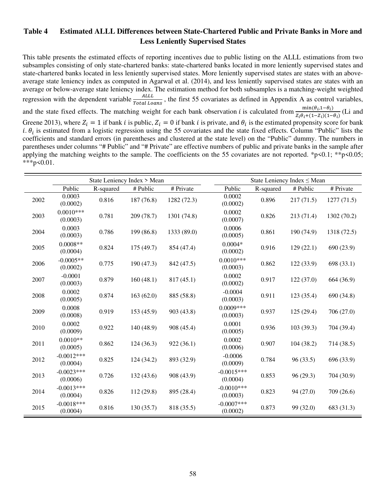# **Table 4 Estimated ALLL Differences between State-Chartered Public and Private Banks in More and Less Leniently Supervised States**

This table presents the estimated effects of reporting incentives due to public listing on the ALLL estimations from two subsamples consisting of only state-chartered banks: state-chartered banks located in more leniently supervised states and state-chartered banks located in less leniently supervised states. More leniently supervised states are states with an aboveaverage state leniency index as computed in Agarwal et al. (2014), and less leniently supervised states are states with an average or below-average state leniency index. The estimation method for both subsamples is a matching-weight weighted regression with the dependent variable  $\frac{ALL}{TotalLoss}$ , the first 55 covariates as defined in Appendix A as control variables,  $Total Loss$ <br>and the state fixed effects. The matching weight for each bank observation *i* is calculated from  $\frac{\min(\theta_i, 1-\theta_i)}{z_i\theta_i+(1-Z_i)(1-\theta_i)}$  $\frac{\text{min}(v_i, 1 - v_i)}{z_i \theta_i + (1 - z_i)(1 - \theta_i)}$  (Li and Greene 2013), where  $Z_i = 1$  if bank *i* is public,  $Z_i = 0$  if bank *i* is private, and  $\theta_i$  is the estimated propensity score for bank *i*.  $\theta_i$  is estimated from a logistic regression using the 55 covariates and the state fixed effects. Column "Public" lists the coefficients and standard errors (in parentheses and clustered at the state level) on the "Public" dummy. The numbers in parentheses under columns "# Public" and "# Private" are effective numbers of public and private banks in the sample after applying the matching weights to the sample. The coefficients on the 55 covariates are not reported. \*p<0.1; \*\*p<0.05;  $***p<0.01$ .

|      |                          |           | State Leniency Index > Mean |             | State Leniency Index $\leq$ Mean |           |            |             |  |
|------|--------------------------|-----------|-----------------------------|-------------|----------------------------------|-----------|------------|-------------|--|
|      | Public                   | R-squared | # Public                    | # Private   | Public                           | R-squared | # Public   | # Private   |  |
| 2002 | 0.0003<br>(0.0002)       | 0.816     | 187 (76.8)                  | 1282 (72.3) | 0.0002<br>(0.0002)               | 0.896     | 217(71.5)  | 1277(71.5)  |  |
| 2003 | $0.0010***$<br>(0.0003)  | 0.781     | 209 (78.7)                  | 1301 (74.8) | 0.0002<br>(0.0007)               | 0.826     | 213 (71.4) | 1302 (70.2) |  |
| 2004 | 0.0003<br>(0.0003)       | 0.786     | 199 (86.8)                  | 1333 (89.0) | 0.0006<br>(0.0005)               | 0.861     | 190 (74.9) | 1318 (72.5) |  |
| 2005 | $0.0008**$<br>(0.0004)   | 0.824     | 175(49.7)                   | 854 (47.4)  | $0.0004*$<br>(0.0002)            | 0.916     | 129(22.1)  | 690 (23.9)  |  |
| 2006 | $-0.0005**$<br>(0.0002)  | 0.775     | 190 (47.3)                  | 842 (47.5)  | $0.0010***$<br>(0.0003)          | 0.862     | 122 (33.9) | 698 (33.1)  |  |
| 2007 | $-0.0001$<br>(0.0003)    | 0.879     | 160(48.1)                   | 817(45.1)   | 0.0002<br>(0.0002)               | 0.917     | 122(37.0)  | 664 (36.9)  |  |
| 2008 | 0.0002<br>(0.0005)       | 0.874     | 163(62.0)                   | 885 (58.8)  | $-0.0004$<br>(0.0003)            | 0.911     | 123 (35.4) | 690 (34.8)  |  |
| 2009 | 0.0008<br>(0.0008)       | 0.919     | 153(45.9)                   | 903 (43.8)  | $0.0009***$<br>(0.0003)          | 0.937     | 125(29.4)  | 706 (27.0)  |  |
| 2010 | 0.0002<br>(0.0009)       | 0.922     | 140 (48.9)                  | 908 (45.4)  | 0.0001<br>(0.0005)               | 0.936     | 103(39.3)  | 704 (39.4)  |  |
| 2011 | $0.0010**$<br>(0.0005)   | 0.862     | 124(36.3)                   | 922(36.1)   | 0.0002<br>(0.0006)               | 0.907     | 104(38.2)  | 714 (38.5)  |  |
| 2012 | $-0.0012***$<br>(0.0004) | 0.825     | 124(34.2)                   | 893 (32.9)  | $-0.0006$<br>(0.0009)            | 0.784     | 96(33.5)   | 696 (33.9)  |  |
| 2013 | $-0.0023***$<br>(0.0006) | 0.726     | 132(43.6)                   | 908 (43.9)  | $-0.0015***$<br>(0.0004)         | 0.853     | 96(29.3)   | 704 (30.9)  |  |
| 2014 | $-0.0013***$<br>(0.0004) | 0.826     | 112 (29.8)                  | 895 (28.4)  | $-0.0010***$<br>(0.0003)         | 0.823     | 94(27.0)   | 709 (26.6)  |  |
| 2015 | $-0.0018***$<br>(0.0004) | 0.816     | 130(35.7)                   | 818 (35.5)  | $-0.0007$ ***<br>(0.0002)        | 0.873     | 99 (32.0)  | 683 (31.3)  |  |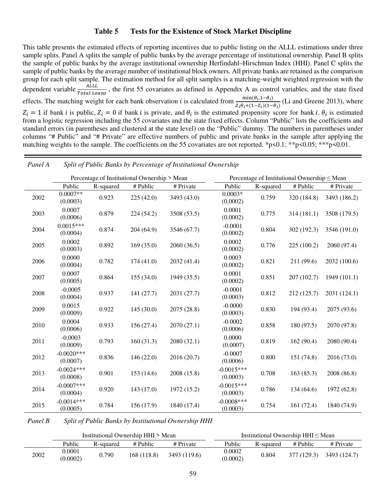## **Table 5 Tests for the Existence of Stock Market Discipline**

This table presents the estimated effects of reporting incentives due to public listing on the ALLL estimations under three sample splits. Panel A splits the sample of public banks by the average percentage of institutional ownership. Panel B splits the sample of public banks by the average institutional ownership Herfindahl–Hirschman Index (HHI). Panel C splits the sample of public banks by the average number of institutional block owners. All private banks are retained as the comparison group for each split sample. The estimation method for all split samples is a matching-weight weighted regression with the dependent variable  $\frac{ALL}{Total$ , the first 55 covariates as defined in Appendix A as control variables, and the state fixedTotal Loans<br>
effects. The matching weight for each bank observation *i* is calculated from  $\frac{\min(\theta_i, 1-\theta_i)}{z_i \theta_i + (1-z_i)(1-z_i)}$  $\frac{\text{min}(v_i, 1 - v_i)}{z_i \theta_i + (1 - z_i)(1 - \theta_i)}$  (Li and Greene 2013), where  $Z_i = 1$  if bank *i* is public,  $Z_i = 0$  if bank *i* is private, and  $\theta_i$  is the estimated propensity score for bank *i*.  $\theta_i$  is estimated from a logistic regression including the 55 covariates and the state fixed effects. Column "Public" lists the coefficients and standard errors (in parentheses and clustered at the state level) on the "Public" dummy. The numbers in parentheses under columns "# Public" and "# Private" are effective numbers of public and private banks in the sample after applying the matching weights to the sample. The coefficients on the 55 covariates are not reported. \*p<0.1; \*\*p<0.05; \*\*\*p<0.01.

|      |                           |           | Percentage of Institutional Ownership > Mean |             |                           |           | Percentage of Institutional Ownership $\leq$ Mean |              |
|------|---------------------------|-----------|----------------------------------------------|-------------|---------------------------|-----------|---------------------------------------------------|--------------|
|      | Public                    | R-squared | # Public                                     | # Private   | Public                    | R-squared | # Public                                          | # Private    |
| 2002 | $0.0007**$<br>(0.0003)    | 0.923     | 225(42.0)                                    | 3493 (43.0) | $0.0003*$<br>(0.0002)     | 0.759     | 320 (184.8)                                       | 3493 (186.2) |
| 2003 | 0.0007<br>(0.0006)        | 0.879     | 224 (54.2)                                   | 3508 (53.5) | 0.0001<br>(0.0002)        | 0.775     | 314(181.1)                                        | 3508 (179.5) |
| 2004 | $0.0015***$<br>(0.0004)   | 0.874     | 204 (64.9)                                   | 3546 (67.7) | $-0.0001$<br>(0.0002)     | 0.804     | 302 (192.3)                                       | 3546 (191.0) |
| 2005 | 0.0002<br>(0.0003)        | 0.892     | 169(35.0)                                    | 2060 (36.5) | 0.0002<br>(0.0002)        | 0.776     | 225 (100.2)                                       | 2060 (97.4)  |
| 2006 | 0.0000<br>(0.0004)        | 0.782     | 174(41.0)                                    | 2032 (41.4) | 0.0003<br>(0.0002)        | 0.821     | 211 (99.6)                                        | 2032 (100.6) |
| 2007 | 0.0007<br>(0.0005)        | 0.864     | 155(34.0)                                    | 1949 (35.5) | 0.0001<br>(0.0002)        | 0.851     | 207 (102.7)                                       | 1949 (101.1) |
| 2008 | $-0.0005$<br>(0.0004)     | 0.937     | 141(27.7)                                    | 2031 (27.7) | $-0.0001$<br>(0.0003)     | 0.812     | 212 (125.7)                                       | 2031 (124.1) |
| 2009 | 0.0015<br>(0.0009)        | 0.922     | 145(30.0)                                    | 2075 (28.8) | $-0.0000$<br>(0.0003)     | 0.830     | 194 (93.4)                                        | 2075 (93.6)  |
| 2010 | 0.0004<br>(0.0006)        | 0.933     | 156(27.4)                                    | 2070(27.1)  | $-0.0002$<br>(0.0006)     | 0.858     | 180 (97.5)                                        | 2070 (97.8)  |
| 2011 | $-0.0003$<br>(0.0009)     | 0.793     | 160(31.3)                                    | 2080(32.1)  | 0.0000<br>(0.0007)        | 0.819     | 162(90.4)                                         | 2080 (90.4)  |
| 2012 | $-0.0020$ ***<br>(0.0007) | 0.836     | 146(22.0)                                    | 2016 (20.7) | $-0.0007$<br>(0.0006)     | 0.800     | 151 (74.8)                                        | 2016 (73.0)  |
| 2013 | $-0.0024***$<br>(0.0008)  | 0.901     | 153(14.6)                                    | 2008 (15.8) | $-0.0015***$<br>(0.0003)  | 0.708     | 163(85.3)                                         | 2008 (86.8)  |
| 2014 | $-0.0007$ ***<br>(0.0004) | 0.920     | 143(17.0)                                    | 1972 (15.2) | $-0.0015***$<br>(0.0003)  | 0.786     | 134(64.6)                                         | 1972 (62.8)  |
| 2015 | $-0.0014***$<br>(0.0005)  | 0.784     | 156 (17.9)                                   | 1840 (17.4) | $-0.0008$ ***<br>(0.0003) | 0.754     | 161(72.4)                                         | 1840 (74.9)  |

*Panel A Split of Public Banks by Percentage of Institutional Ownership*

*Panel B Split of Public Banks by Institutional Ownership HHI*

|      |                    |           | Institutional Ownership HHI > Mean |              |                    | Institutional Ownership $HHI \leq Mean$ |          |                            |  |  |  |  |
|------|--------------------|-----------|------------------------------------|--------------|--------------------|-----------------------------------------|----------|----------------------------|--|--|--|--|
|      | Public             | R-squared | # Public                           | # Private    | Public             | R-squared                               | # Public | # Private                  |  |  |  |  |
| 2002 | 0.0001<br>(0.0002) | 0.790     | 168(118.8)                         | 3493 (119.6) | 0.0002<br>(0.0002) | 0.804                                   |          | $377(129.3)$ $3493(124.7)$ |  |  |  |  |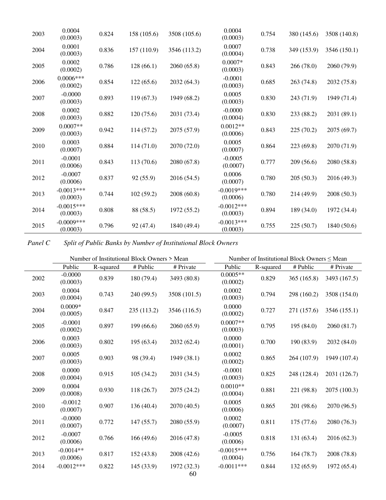| 2003 | 0.0004<br>(0.0003)        | 0.824 | 158 (105.6) | 3508 (105.6) | 0.0004<br>(0.0003)       | 0.754 | 380 (145.6) | 3508 (140.8) |
|------|---------------------------|-------|-------------|--------------|--------------------------|-------|-------------|--------------|
| 2004 | 0.0001<br>(0.0003)        | 0.836 | 157 (110.9) | 3546 (113.2) | 0.0007<br>(0.0004)       | 0.738 | 349 (153.9) | 3546 (150.1) |
| 2005 | 0.0002<br>(0.0002)        | 0.786 | 128(66.1)   | 2060(65.8)   | $0.0007*$<br>(0.0003)    | 0.843 | 266 (78.0)  | 2060 (79.9)  |
| 2006 | $0.0006***$<br>(0.0002)   | 0.854 | 122(65.6)   | 2032 (64.3)  | $-0.0001$<br>(0.0003)    | 0.685 | 263 (74.8)  | 2032 (75.8)  |
| 2007 | $-0.0000$<br>(0.0003)     | 0.893 | 119(67.3)   | 1949 (68.2)  | 0.0005<br>(0.0003)       | 0.830 | 243 (71.9)  | 1949 (71.4)  |
| 2008 | 0.0002<br>(0.0003)        | 0.882 | 120(75.6)   | 2031 (73.4)  | $-0.0000$<br>(0.0004)    | 0.830 | 233 (88.2)  | 2031 (89.1)  |
| 2009 | $0.0007**$<br>(0.0003)    | 0.942 | 114 (57.2)  | 2075 (57.9)  | $0.0012**$<br>(0.0006)   | 0.843 | 225(70.2)   | 2075 (69.7)  |
| 2010 | 0.0003<br>(0.0007)        | 0.884 | 114(71.0)   | 2070 (72.0)  | 0.0005<br>(0.0007)       | 0.864 | 223 (69.8)  | 2070 (71.9)  |
| 2011 | $-0.0001$<br>(0.0006)     | 0.843 | 113(70.6)   | 2080 (67.8)  | $-0.0005$<br>(0.0007)    | 0.777 | 209(56.6)   | 2080 (58.8)  |
| 2012 | $-0.0007$<br>(0.0006)     | 0.837 | 92 (55.9)   | 2016 (54.5)  | 0.0006<br>(0.0007)       | 0.780 | 205(50.3)   | 2016 (49.3)  |
| 2013 | $-0.0013***$<br>(0.0003)  | 0.744 | 102(59.2)   | 2008 (60.8)  | $-0.0019***$<br>(0.0006) | 0.780 | 214 (49.9)  | 2008 (50.3)  |
| 2014 | $-0.0015***$<br>(0.0003)  | 0.808 | 88 (58.5)   | 1972 (55.2)  | $-0.0012***$<br>(0.0003) | 0.894 | 189(34.0)   | 1972 (34.4)  |
| 2015 | $-0.0009$ ***<br>(0.0003) | 0.796 | 92 (47.4)   | 1840 (49.4)  | $-0.0013***$<br>(0.0003) | 0.755 | 225(50.7)   | 1840(50.6)   |

*Panel C Split of Public Banks by Number of Institutional Block Owners*

|      |                         |           | Number of Institutional Block Owners > Mean |              |                          |           | Number of Institutional Block Owners $\leq$ Mean |              |
|------|-------------------------|-----------|---------------------------------------------|--------------|--------------------------|-----------|--------------------------------------------------|--------------|
|      | Public                  | R-squared | # Public                                    | # Private    | Public                   | R-squared | # Public                                         | # Private    |
| 2002 | $-0.0000$<br>(0.0003)   | 0.839     | 180 (79.4)                                  | 3493 (80.8)  | $0.0005**$<br>(0.0002)   | 0.829     | 365(165.8)                                       | 3493 (167.5) |
| 2003 | 0.0004<br>(0.0004)      | 0.743     | 240 (99.5)                                  | 3508 (101.5) | 0.0002<br>(0.0003)       | 0.794     | 298 (160.2)                                      | 3508 (154.0) |
| 2004 | $0.0009*$<br>(0.0005)   | 0.847     | 235 (113.2)                                 | 3546 (116.5) | 0.0000<br>(0.0002)       | 0.727     | 271 (157.6)                                      | 3546 (155.1) |
| 2005 | $-0.0001$<br>(0.0002)   | 0.897     | 199(66.6)                                   | 2060 (65.9)  | $0.0007**$<br>(0.0003)   | 0.795     | 195(84.0)                                        | 2060 (81.7)  |
| 2006 | 0.0003<br>(0.0003)      | 0.802     | 195(63.4)                                   | 2032 (62.4)  | 0.0000<br>(0.0001)       | 0.700     | 190 (83.9)                                       | 2032(84.0)   |
| 2007 | 0.0005<br>(0.0003)      | 0.903     | 98 (39.4)                                   | 1949 (38.1)  | 0.0002<br>(0.0002)       | 0.865     | 264 (107.9)                                      | 1949 (107.4) |
| 2008 | 0.0000<br>(0.0004)      | 0.915     | 105(34.2)                                   | 2031 (34.5)  | $-0.0001$<br>(0.0003)    | 0.825     | 248 (128.4)                                      | 2031 (126.7) |
| 2009 | 0.0004<br>(0.0008)      | 0.930     | 118(26.7)                                   | 2075 (24.2)  | $0.0010**$<br>(0.0004)   | 0.881     | 221 (98.8)                                       | 2075 (100.3) |
| 2010 | $-0.0012$<br>(0.0007)   | 0.907     | 136(40.4)                                   | 2070 (40.5)  | 0.0005<br>(0.0006)       | 0.865     | 201 (98.6)                                       | 2070 (96.5)  |
| 2011 | $-0.0000$<br>(0.0007)   | 0.772     | 147(55.7)                                   | 2080 (55.9)  | 0.0002<br>(0.0007)       | 0.811     | 175(77.6)                                        | 2080 (76.3)  |
| 2012 | $-0.0007$<br>(0.0006)   | 0.766     | 166(49.6)                                   | 2016 (47.8)  | $-0.0005$<br>(0.0006)    | 0.818     | 131 (63.4)                                       | 2016 (62.3)  |
| 2013 | $-0.0014**$<br>(0.0006) | 0.817     | 152(43.8)                                   | 2008 (42.6)  | $-0.0015***$<br>(0.0004) | 0.756     | 164(78.7)                                        | 2008 (78.8)  |
| 2014 | $-0.0012***$            | 0.822     | 145 (33.9)                                  | 1972 (32.3)  | $-0.0011***$             | 0.844     | 132(65.9)                                        | 1972 (65.4)  |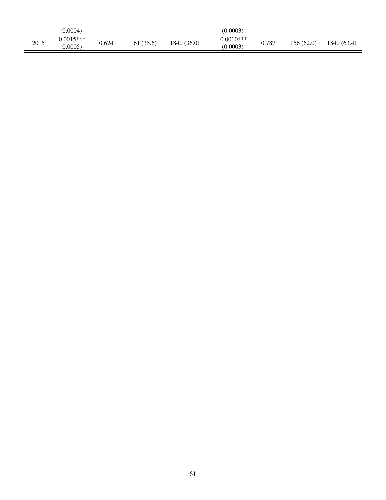|      | (0.0004)                 |       |            |             | (0.0003)                 |       |            |             |
|------|--------------------------|-------|------------|-------------|--------------------------|-------|------------|-------------|
| 2015 | $-0.0015***$<br>(0.0005) | 0.624 | 161 (35.6) | 1840 (36.0) | $-0.0010***$<br>(0.0003) | 0.787 | 156 (62.0) | 1840 (63.4) |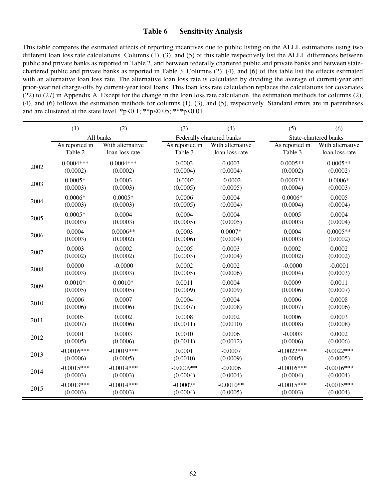## **Table 6 Sensitivity Analysis**

This table compares the estimated effects of reporting incentives due to public listing on the ALLL estimations using two different loan loss rate calculations. Columns (1), (3), and (5) of this table respectively list the ALLL differences between public and private banks as reported in Table 2, and between federally chartered public and private banks and between statechartered public and private banks as reported in Table 3. Columns (2), (4), and (6) of this table list the effects estimated with an alternative loan loss rate. The alternative loan loss rate is calculated by dividing the average of current-year and prior-year net charge-offs by current-year total loans. This loan loss rate calculation replaces the calculations for covariates (22) to (27) in Appendix A. Except for the change in the loan loss rate calculation, the estimation methods for columns (2), (4), and (6) follows the estimation methods for columns (1), (3), and (5), respectively. Standard errors are in parentheses and are clustered at the state level. \*p<0.1; \*\*p<0.05; \*\*\*p<0.01.

|      | (1)            | (2)              | (3)            | (4)                       | (5)            | (6)                   |
|------|----------------|------------------|----------------|---------------------------|----------------|-----------------------|
|      |                | All banks        |                | Federally chartered banks |                | State-chartered banks |
|      | As reported in | With alternative | As reported in | With alternative          | As reported in | With alternative      |
|      | Table 2        | loan loss rate   | Table 3        | loan loss rate            | Table 3        | loan loss rate        |
| 2002 | $0.0004***$    | $0.0004***$      | 0.0003         | 0.0003                    | $0.0005**$     | $0.0005**$            |
|      | (0.0002)       | (0.0002)         | (0.0004)       | (0.0004)                  | (0.0002)       | (0.0002)              |
| 2003 | $0.0005*$      | 0.0003           | $-0.0002$      | $-0.0002$                 | $0.0007**$     | $0.0006*$             |
|      | (0.0003)       | (0.0003)         | (0.0005)       | (0.0005)                  | (0.0004)       | (0.0003)              |
| 2004 | $0.0006*$      | $0.0005*$        | 0.0006         | 0.0004                    | $0.0006*$      | 0.0005                |
|      | (0.0003)       | (0.0003)         | (0.0005)       | (0.0004)                  | (0.0004)       | (0.0004)              |
| 2005 | $0.0005*$      | 0.0004           | 0.0004         | 0.0004                    | 0.0005         | 0.0004                |
|      | (0.0003)       | (0.0003)         | (0.0005)       | (0.0005)                  | (0.0003)       | (0.0004)              |
| 2006 | 0.0004         | $0.0006**$       | 0.0003         | $0.0007*$                 | 0.0004         | $0.0005**$            |
|      | (0.0003)       | (0.0002)         | (0.0006)       | (0.0004)                  | (0.0003)       | (0.0002)              |
| 2007 | 0.0003         | 0.0002           | 0.0005         | 0.0003                    | 0.0002         | 0.0002                |
|      | (0.0002)       | (0.0002)         | (0.0003)       | (0.0004)                  | (0.0002)       | (0.0002)              |
| 2008 | 0.0000         | $-0.0000$        | 0.0002         | 0.0002                    | $-0.0000$      | $-0.0001$             |
|      | (0.0003)       | (0.0003)         | (0.0005)       | (0.0006)                  | (0.0004)       | (0.0003)              |
| 2009 | $0.0010*$      | $0.0010*$        | 0.0011         | 0.0004                    | 0.0009         | 0.0011                |
|      | (0.0005)       | (0.0005)         | (0.0009)       | (0.0009)                  | (0.0006)       | (0.0007)              |
| 2010 | 0.0006         | 0.0007           | 0.0004         | 0.0004                    | 0.0006         | 0.0008                |
|      | (0.0006)       | (0.0006)         | (0.0007)       | (0.0008)                  | (0.0007)       | (0.0006)              |
| 2011 | 0.0005         | 0.0002           | 0.0008         | 0.0002                    | 0.0006         | 0.0003                |
|      | (0.0007)       | (0.0006)         | (0.0011)       | (0.0010)                  | (0.0008)       | (0.0008)              |
| 2012 | 0.0001         | 0.0003           | 0.0010         | 0.0006                    | $-0.0003$      | 0.0002                |
|      | (0.0005)       | (0.0006)         | (0.0011)       | (0.0012)                  | (0.0006)       | (0.0006)              |
| 2013 | $-0.0016***$   | $-0.0019***$     | 0.0001         | $-0.0007$                 | $-0.0022***$   | $-0.0022***$          |
|      | (0.0006)       | (0.0005)         | (0.0010)       | (0.0009)                  | (0.0005)       | (0.0005)              |
| 2014 | $-0.0015***$   | $-0.0014***$     | $-0.0009**$    | $-0.0006$                 | $-0.0016***$   | $-0.0016***$          |
|      | (0.0003)       | (0.0003)         | (0.0004)       | (0.0004)                  | (0.0004)       | (0.0004)              |
| 2015 | $-0.0013***$   | $-0.0014***$     | $-0.0007*$     | $-0.0010**$               | $-0.0015***$   | $-0.0015***$          |
|      | (0.0003)       | (0.0003)         | (0.0004)       | (0.0005)                  | (0.0003)       | (0.0004)              |